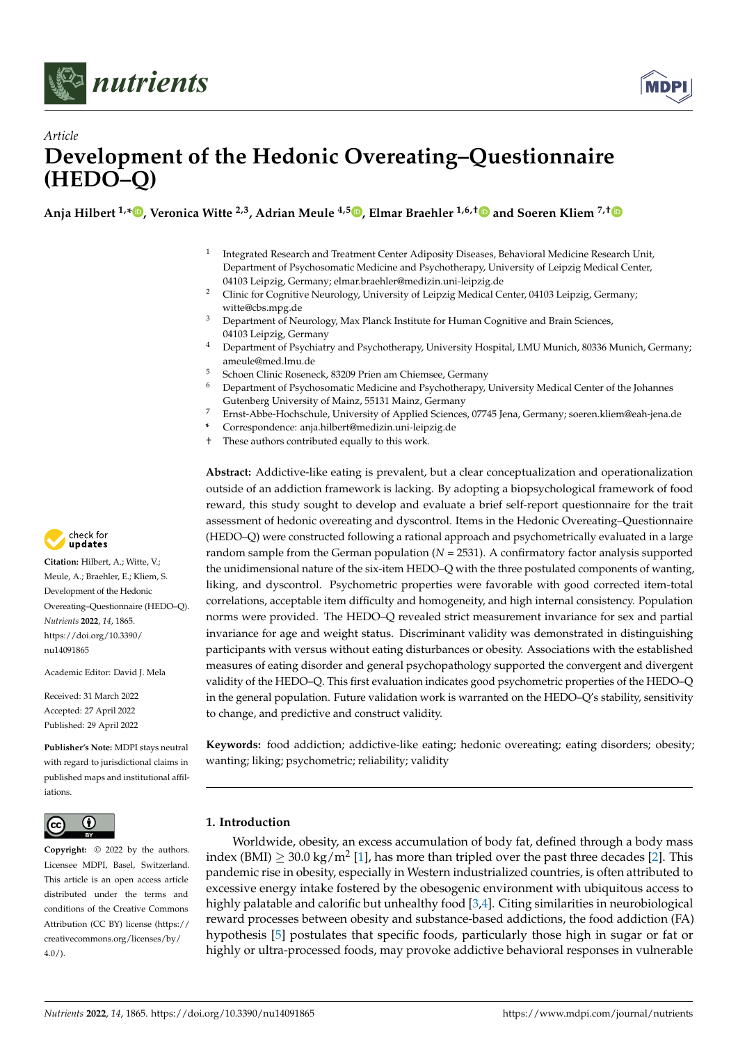



# *Article* **Development of the Hedonic Overeating–Questionnaire (HEDO–Q)**

**Anja Hilbert 1,\* [,](https://orcid.org/0000-0003-2775-1296) Veronica Witte 2,3, Adrian Meule 4,5 [,](https://orcid.org/0000-0002-6639-8977) Elmar Braehler 1,6,[†](https://orcid.org/0000-0002-2648-2728) and Soeren Kliem 7,[†](https://orcid.org/0000-0003-1788-9574)**

- 1 Integrated Research and Treatment Center Adiposity Diseases, Behavioral Medicine Research Unit, Department of Psychosomatic Medicine and Psychotherapy, University of Leipzig Medical Center, 04103 Leipzig, Germany; elmar.braehler@medizin.uni-leipzig.de
- <sup>2</sup> Clinic for Cognitive Neurology, University of Leipzig Medical Center, 04103 Leipzig, Germany; witte@cbs.mpg.de
- <sup>3</sup> Department of Neurology, Max Planck Institute for Human Cognitive and Brain Sciences, 04103 Leipzig, Germany
- <sup>4</sup> Department of Psychiatry and Psychotherapy, University Hospital, LMU Munich, 80336 Munich, Germany; ameule@med.lmu.de
- <sup>5</sup> Schoen Clinic Roseneck, 83209 Prien am Chiemsee, Germany
- <sup>6</sup> Department of Psychosomatic Medicine and Psychotherapy, University Medical Center of the Johannes Gutenberg University of Mainz, 55131 Mainz, Germany
- <sup>7</sup> Ernst-Abbe-Hochschule, University of Applied Sciences, 07745 Jena, Germany; soeren.kliem@eah-jena.de
- **\*** Correspondence: anja.hilbert@medizin.uni-leipzig.de
- † These authors contributed equally to this work.

**Abstract:** Addictive-like eating is prevalent, but a clear conceptualization and operationalization outside of an addiction framework is lacking. By adopting a biopsychological framework of food reward, this study sought to develop and evaluate a brief self-report questionnaire for the trait assessment of hedonic overeating and dyscontrol. Items in the Hedonic Overeating–Questionnaire (HEDO–Q) were constructed following a rational approach and psychometrically evaluated in a large random sample from the German population  $(N = 2531)$ . A confirmatory factor analysis supported the unidimensional nature of the six-item HEDO–Q with the three postulated components of wanting, liking, and dyscontrol. Psychometric properties were favorable with good corrected item-total correlations, acceptable item difficulty and homogeneity, and high internal consistency. Population norms were provided. The HEDO–Q revealed strict measurement invariance for sex and partial invariance for age and weight status. Discriminant validity was demonstrated in distinguishing participants with versus without eating disturbances or obesity. Associations with the established measures of eating disorder and general psychopathology supported the convergent and divergent validity of the HEDO–Q. This first evaluation indicates good psychometric properties of the HEDO–Q in the general population. Future validation work is warranted on the HEDO–Q's stability, sensitivity to change, and predictive and construct validity.

**Keywords:** food addiction; addictive-like eating; hedonic overeating; eating disorders; obesity; wanting; liking; psychometric; reliability; validity

# <span id="page-0-0"></span>**1. Introduction**

Worldwide, obesity, an excess accumulation of body fat, defined through a body mass index (BMI)  $\ge 30.0$  kg/m<sup>2</sup> [\[1\]](#page-13-0), has more than tripled over the past three decades [\[2\]](#page-13-1). This pandemic rise in obesity, especially in Western industrialized countries, is often attributed to excessive energy intake fostered by the obesogenic environment with ubiquitous access to highly palatable and calorific but unhealthy food [\[3,](#page-13-2)[4\]](#page-13-3). Citing similarities in neurobiological reward processes between obesity and substance-based addictions, the food addiction (FA) hypothesis [\[5\]](#page-13-4) postulates that specific foods, particularly those high in sugar or fat or highly or ultra-processed foods, may provoke addictive behavioral responses in vulnerable



**Citation:** Hilbert, A.; Witte, V.; Meule, A.; Braehler, E.; Kliem, S. Development of the Hedonic Overeating–Questionnaire (HEDO–Q). *Nutrients* **2022**, *14*, 1865. [https://doi.org/10.3390/](https://doi.org/10.3390/nu14091865) [nu14091865](https://doi.org/10.3390/nu14091865)

Academic Editor: David J. Mela

Received: 31 March 2022 Accepted: 27 April 2022 Published: 29 April 2022

**Publisher's Note:** MDPI stays neutral with regard to jurisdictional claims in published maps and institutional affiliations.



**Copyright:** © 2022 by the authors. Licensee MDPI, Basel, Switzerland. This article is an open access article distributed under the terms and conditions of the Creative Commons Attribution (CC BY) license [\(https://](https://creativecommons.org/licenses/by/4.0/) [creativecommons.org/licenses/by/](https://creativecommons.org/licenses/by/4.0/)  $4.0/$ ).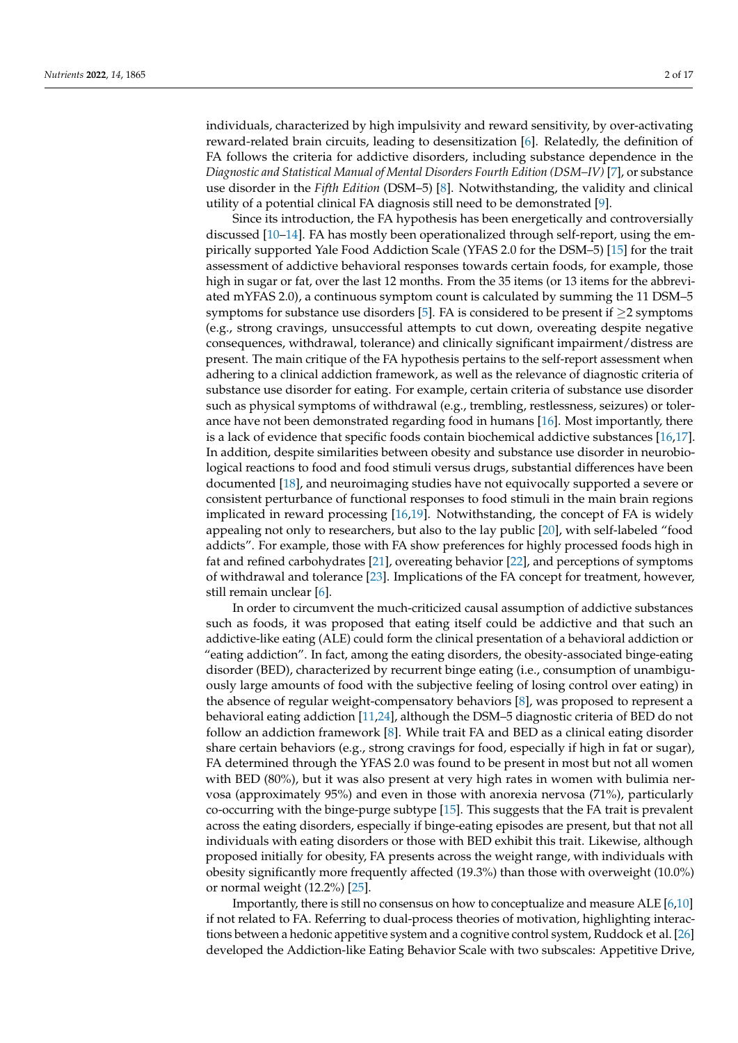individuals, characterized by high impulsivity and reward sensitivity, by over-activating reward-related brain circuits, leading to desensitization [\[6\]](#page-13-5). Relatedly, the definition of FA follows the criteria for addictive disorders, including substance dependence in the *Diagnostic and Statistical Manual of Mental Disorders Fourth Edition (DSM–IV)* [\[7\]](#page-13-6), or substance use disorder in the *Fifth Edition* (DSM–5) [\[8\]](#page-13-7). Notwithstanding, the validity and clinical utility of a potential clinical FA diagnosis still need to be demonstrated [\[9\]](#page-13-8).

Since its introduction, the FA hypothesis has been energetically and controversially discussed [\[10–](#page-13-9)[14\]](#page-13-10). FA has mostly been operationalized through self-report, using the empirically supported Yale Food Addiction Scale (YFAS 2.0 for the DSM–5) [\[15\]](#page-13-11) for the trait assessment of addictive behavioral responses towards certain foods, for example, those high in sugar or fat, over the last 12 months. From the 35 items (or 13 items for the abbreviated mYFAS 2.0), a continuous symptom count is calculated by summing the 11 DSM–5 symptoms for substance use disorders [\[5\]](#page-13-4). FA is considered to be present if  $\geq$  2 symptoms (e.g., strong cravings, unsuccessful attempts to cut down, overeating despite negative consequences, withdrawal, tolerance) and clinically significant impairment/distress are present. The main critique of the FA hypothesis pertains to the self-report assessment when adhering to a clinical addiction framework, as well as the relevance of diagnostic criteria of substance use disorder for eating. For example, certain criteria of substance use disorder such as physical symptoms of withdrawal (e.g., trembling, restlessness, seizures) or tolerance have not been demonstrated regarding food in humans [\[16\]](#page-13-12). Most importantly, there is a lack of evidence that specific foods contain biochemical addictive substances [\[16,](#page-13-12)[17\]](#page-13-13). In addition, despite similarities between obesity and substance use disorder in neurobiological reactions to food and food stimuli versus drugs, substantial differences have been documented [\[18\]](#page-13-14), and neuroimaging studies have not equivocally supported a severe or consistent perturbance of functional responses to food stimuli in the main brain regions implicated in reward processing [\[16,](#page-13-12)[19\]](#page-13-15). Notwithstanding, the concept of FA is widely appealing not only to researchers, but also to the lay public [\[20\]](#page-13-16), with self-labeled "food addicts". For example, those with FA show preferences for highly processed foods high in fat and refined carbohydrates [\[21\]](#page-13-17), overeating behavior [\[22\]](#page-13-18), and perceptions of symptoms of withdrawal and tolerance [\[23\]](#page-13-19). Implications of the FA concept for treatment, however, still remain unclear [\[6\]](#page-13-5).

In order to circumvent the much-criticized causal assumption of addictive substances such as foods, it was proposed that eating itself could be addictive and that such an addictive-like eating (ALE) could form the clinical presentation of a behavioral addiction or "eating addiction". In fact, among the eating disorders, the obesity-associated binge-eating disorder (BED), characterized by recurrent binge eating (i.e., consumption of unambiguously large amounts of food with the subjective feeling of losing control over eating) in the absence of regular weight-compensatory behaviors [\[8\]](#page-13-7), was proposed to represent a behavioral eating addiction [\[11,](#page-13-20)[24\]](#page-13-21), although the DSM–5 diagnostic criteria of BED do not follow an addiction framework [\[8\]](#page-13-7). While trait FA and BED as a clinical eating disorder share certain behaviors (e.g., strong cravings for food, especially if high in fat or sugar), FA determined through the YFAS 2.0 was found to be present in most but not all women with BED (80%), but it was also present at very high rates in women with bulimia nervosa (approximately 95%) and even in those with anorexia nervosa (71%), particularly co-occurring with the binge-purge subtype [\[15\]](#page-13-11). This suggests that the FA trait is prevalent across the eating disorders, especially if binge-eating episodes are present, but that not all individuals with eating disorders or those with BED exhibit this trait. Likewise, although proposed initially for obesity, FA presents across the weight range, with individuals with obesity significantly more frequently affected (19.3%) than those with overweight (10.0%) or normal weight (12.2%) [\[25\]](#page-13-22).

Importantly, there is still no consensus on how to conceptualize and measure ALE [\[6,](#page-13-5)[10\]](#page-13-9) if not related to FA. Referring to dual-process theories of motivation, highlighting interactions between a hedonic appetitive system and a cognitive control system, Ruddock et al. [\[26\]](#page-14-0) developed the Addiction-like Eating Behavior Scale with two subscales: Appetitive Drive,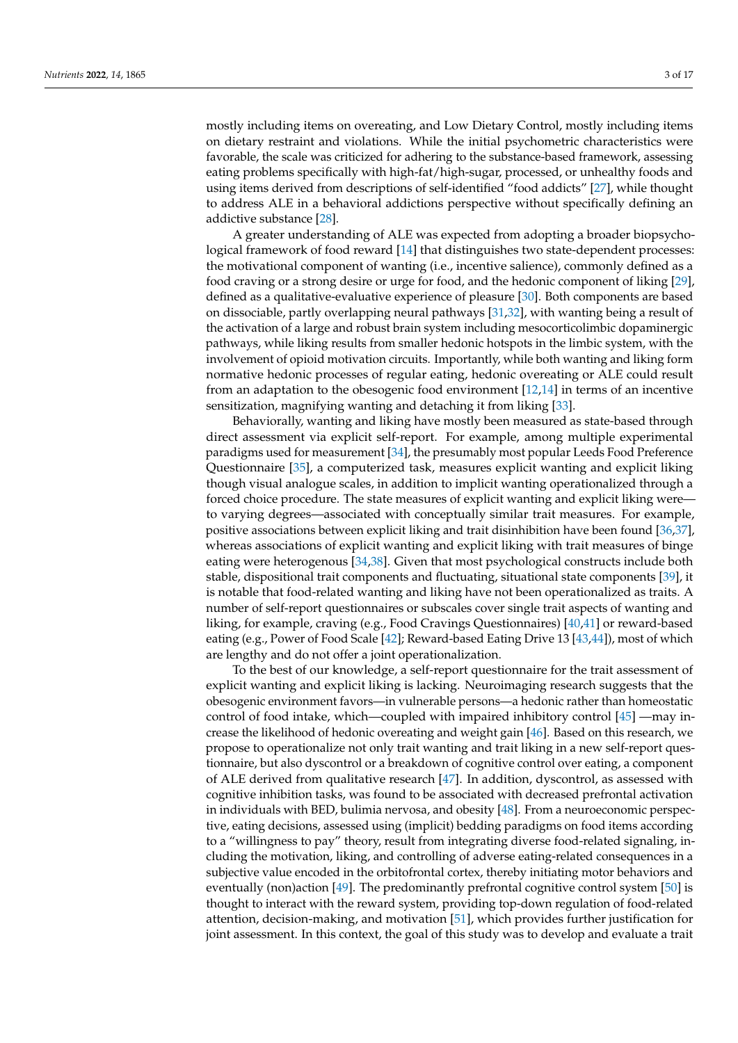mostly including items on overeating, and Low Dietary Control, mostly including items on dietary restraint and violations. While the initial psychometric characteristics were favorable, the scale was criticized for adhering to the substance-based framework, assessing eating problems specifically with high-fat/high-sugar, processed, or unhealthy foods and using items derived from descriptions of self-identified "food addicts" [\[27\]](#page-14-1), while thought to address ALE in a behavioral addictions perspective without specifically defining an addictive substance [\[28\]](#page-14-2).

A greater understanding of ALE was expected from adopting a broader biopsychological framework of food reward [\[14\]](#page-13-10) that distinguishes two state-dependent processes: the motivational component of wanting (i.e., incentive salience), commonly defined as a food craving or a strong desire or urge for food, and the hedonic component of liking [\[29\]](#page-14-3), defined as a qualitative-evaluative experience of pleasure [\[30\]](#page-14-4). Both components are based on dissociable, partly overlapping neural pathways [\[31,](#page-14-5)[32\]](#page-14-6), with wanting being a result of the activation of a large and robust brain system including mesocorticolimbic dopaminergic pathways, while liking results from smaller hedonic hotspots in the limbic system, with the involvement of opioid motivation circuits. Importantly, while both wanting and liking form normative hedonic processes of regular eating, hedonic overeating or ALE could result from an adaptation to the obesogenic food environment [\[12](#page-13-23)[,14\]](#page-13-10) in terms of an incentive sensitization, magnifying wanting and detaching it from liking [\[33\]](#page-14-7).

Behaviorally, wanting and liking have mostly been measured as state-based through direct assessment via explicit self-report. For example, among multiple experimental paradigms used for measurement [\[34\]](#page-14-8), the presumably most popular Leeds Food Preference Questionnaire [\[35\]](#page-14-9), a computerized task, measures explicit wanting and explicit liking though visual analogue scales, in addition to implicit wanting operationalized through a forced choice procedure. The state measures of explicit wanting and explicit liking were to varying degrees—associated with conceptually similar trait measures. For example, positive associations between explicit liking and trait disinhibition have been found [\[36](#page-14-10)[,37\]](#page-14-11), whereas associations of explicit wanting and explicit liking with trait measures of binge eating were heterogenous [\[34,](#page-14-8)[38\]](#page-14-12). Given that most psychological constructs include both stable, dispositional trait components and fluctuating, situational state components [\[39\]](#page-14-13), it is notable that food-related wanting and liking have not been operationalized as traits. A number of self-report questionnaires or subscales cover single trait aspects of wanting and liking, for example, craving (e.g., Food Cravings Questionnaires) [\[40](#page-14-14)[,41\]](#page-14-15) or reward-based eating (e.g., Power of Food Scale [\[42\]](#page-14-16); Reward-based Eating Drive 13 [\[43](#page-14-17)[,44\]](#page-14-18)), most of which are lengthy and do not offer a joint operationalization.

To the best of our knowledge, a self-report questionnaire for the trait assessment of explicit wanting and explicit liking is lacking. Neuroimaging research suggests that the obesogenic environment favors—in vulnerable persons—a hedonic rather than homeostatic control of food intake, which—coupled with impaired inhibitory control [\[45\]](#page-14-19) —may increase the likelihood of hedonic overeating and weight gain [\[46\]](#page-14-20). Based on this research, we propose to operationalize not only trait wanting and trait liking in a new self-report questionnaire, but also dyscontrol or a breakdown of cognitive control over eating, a component of ALE derived from qualitative research [\[47\]](#page-14-21). In addition, dyscontrol, as assessed with cognitive inhibition tasks, was found to be associated with decreased prefrontal activation in individuals with BED, bulimia nervosa, and obesity [\[48\]](#page-14-22). From a neuroeconomic perspective, eating decisions, assessed using (implicit) bedding paradigms on food items according to a "willingness to pay" theory, result from integrating diverse food-related signaling, including the motivation, liking, and controlling of adverse eating-related consequences in a subjective value encoded in the orbitofrontal cortex, thereby initiating motor behaviors and eventually (non)action [\[49\]](#page-14-23). The predominantly prefrontal cognitive control system [\[50\]](#page-14-24) is thought to interact with the reward system, providing top-down regulation of food-related attention, decision-making, and motivation [\[51\]](#page-14-25), which provides further justification for joint assessment. In this context, the goal of this study was to develop and evaluate a trait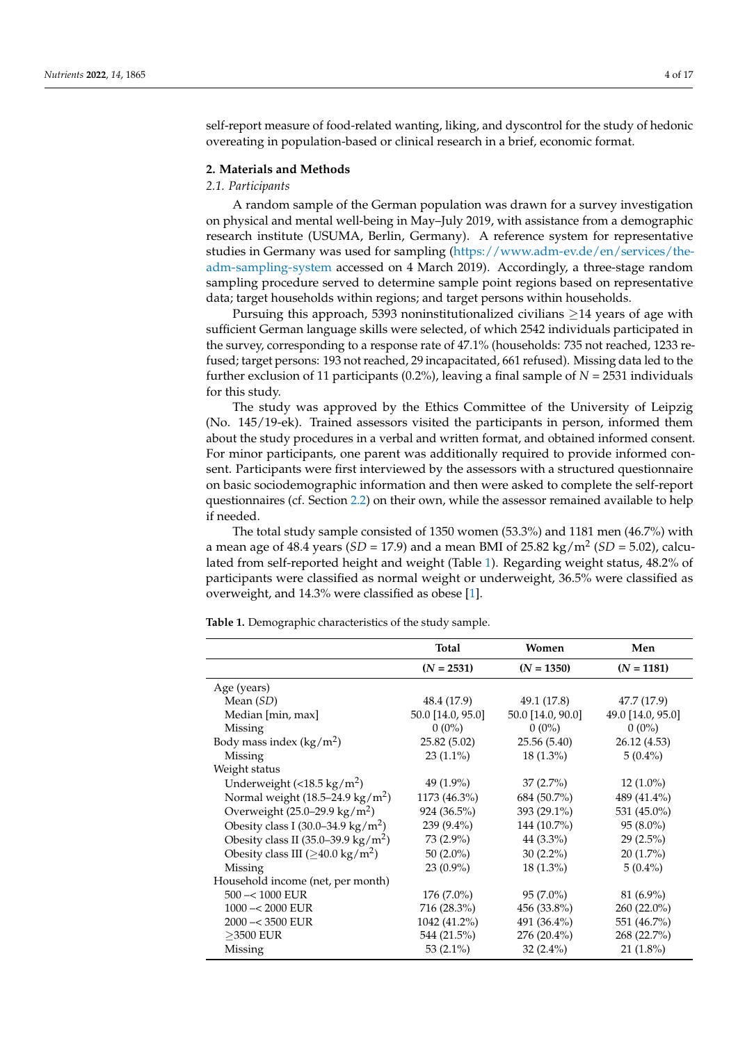self-report measure of food-related wanting, liking, and dyscontrol for the study of hedonic overeating in population-based or clinical research in a brief, economic format.

#### **2. Materials and Methods**

#### <span id="page-3-1"></span>*2.1. Participants*

A random sample of the German population was drawn for a survey investigation on physical and mental well-being in May–July 2019, with assistance from a demographic research institute (USUMA, Berlin, Germany). A reference system for representative studies in Germany was used for sampling [\(https://www.adm-ev.de/en/services/the](https://www.adm-ev.de/en/services/the-adm-sampling-system)[adm-sampling-system](https://www.adm-ev.de/en/services/the-adm-sampling-system) accessed on 4 March 2019). Accordingly, a three-stage random sampling procedure served to determine sample point regions based on representative data; target households within regions; and target persons within households.

Pursuing this approach, 5393 noninstitutionalized civilians  $\geq$  14 years of age with sufficient German language skills were selected, of which 2542 individuals participated in the survey, corresponding to a response rate of 47.1% (households: 735 not reached, 1233 refused; target persons: 193 not reached, 29 incapacitated, 661 refused). Missing data led to the further exclusion of 11 participants (0.2%), leaving a final sample of *N* = 2531 individuals for this study.

The study was approved by the Ethics Committee of the University of Leipzig (No. 145/19-ek). Trained assessors visited the participants in person, informed them about the study procedures in a verbal and written format, and obtained informed consent. For minor participants, one parent was additionally required to provide informed consent. Participants were first interviewed by the assessors with a structured questionnaire on basic sociodemographic information and then were asked to complete the self-report questionnaires (cf. Section [2.2\)](#page-4-0) on their own, while the assessor remained available to help if needed.

The total study sample consisted of 1350 women (53.3%) and 1181 men (46.7%) with a mean age of 48.4 years (*SD* = 17.9) and a mean BMI of 25.82 kg/m<sup>2</sup> (*SD* = 5.02), calculated from self-reported height and weight (Table [1\)](#page-3-0). Regarding weight status, 48.2% of participants were classified as normal weight or underweight, 36.5% were classified as overweight, and 14.3% were classified as obese [\[1\]](#page-13-0).

<span id="page-3-0"></span>**Table 1.** Demographic characteristics of the study sample.

|                                                         | Total             | Women             | Men               |
|---------------------------------------------------------|-------------------|-------------------|-------------------|
|                                                         | $(N = 2531)$      | $(N = 1350)$      | $(N = 1181)$      |
| Age (years)                                             |                   |                   |                   |
| Mean $(SD)$                                             | 48.4 (17.9)       | 49.1 (17.8)       | 47.7 (17.9)       |
| Median [min, max]                                       | 50.0 [14.0, 95.0] | 50.0 [14.0, 90.0] | 49.0 [14.0, 95.0] |
| Missing                                                 | $0(0\%)$          | $0(0\%)$          | $0(0\%)$          |
| Body mass index $(kg/m^2)$                              | 25.82(5.02)       | 25.56(5.40)       | 26.12 (4.53)      |
| Missing                                                 | $23(1.1\%)$       | $18(1.3\%)$       | $5(0.4\%)$        |
| Weight status                                           |                   |                   |                   |
| Underweight $\left($ < 18.5 kg/m <sup>2</sup> $\right)$ | 49 $(1.9\%)$      | $37(2.7\%)$       | $12(1.0\%)$       |
| Normal weight $(18.5-24.9 \text{ kg/m}^2)$              | 1173 (46.3%)      | 684 (50.7%)       | 489 (41.4%)       |
| Overweight $(25.0 - 29.9 \text{ kg/m}^2)$               | 924 (36.5%)       | 393 (29.1%)       | 531 (45.0%)       |
| Obesity class I (30.0–34.9 kg/m <sup>2</sup> )          | 239 (9.4%)        | 144 (10.7%)       | $95(8.0\%)$       |
| Obesity class II (35.0–39.9 kg/m <sup>2</sup> )         | 73 (2.9%)         | 44 (3.3%)         | $29(2.5\%)$       |
| Obesity class III ( $\geq$ 40.0 kg/m <sup>2</sup> )     | 50 $(2.0\%)$      | $30(2.2\%)$       | $20(1.7\%)$       |
| Missing                                                 | $23(0.9\%)$       | $18(1.3\%)$       | $5(0.4\%)$        |
| Household income (net, per month)                       |                   |                   |                   |
| $500 - 1000$ EUR                                        | $176(7.0\%)$      | $95(7.0\%)$       | $81(6.9\%)$       |
| $1000 - 2000$ EUR                                       | 716 (28.3%)       | 456 (33.8%)       | 260 (22.0%)       |
| $2000 - 3500$ EUR                                       | 1042 (41.2%)      | 491 (36.4%)       | 551 (46.7%)       |
| $>$ 3500 EUR                                            | 544 (21.5%)       | 276 (20.4%)       | 268 (22.7%)       |
| Missing                                                 | 53 $(2.1\%)$      | $32(2.4\%)$       | $21(1.8\%)$       |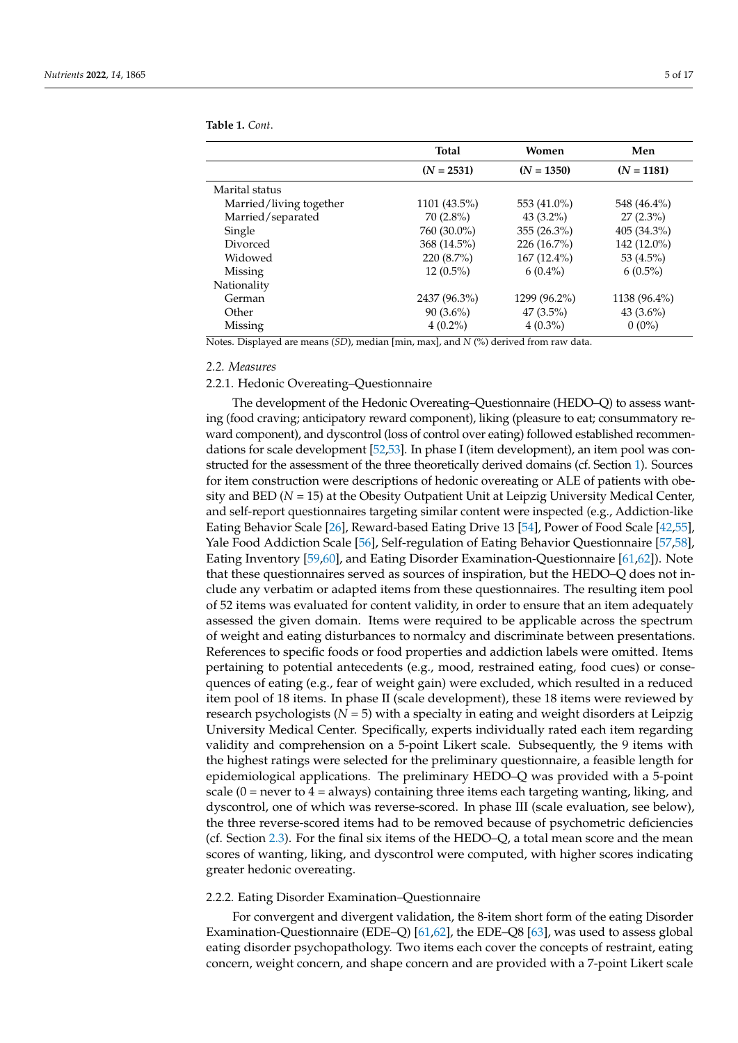|                         | <b>Total</b> | Women         | Men          |
|-------------------------|--------------|---------------|--------------|
|                         | $(N = 2531)$ | $(N = 1350)$  | $(N = 1181)$ |
| Marital status          |              |               |              |
| Married/living together | 1101 (43.5%) | 553 (41.0%)   | 548 (46.4%)  |
| Married/separated       | $70(2.8\%)$  | $43(3.2\%)$   | $27(2.3\%)$  |
| Single                  | 760 (30.0%)  | $355(26.3\%)$ | 405 (34.3%)  |
| Divorced                | 368 (14.5%)  | $226(16.7\%)$ | 142 (12.0%)  |
| Widowed                 | $220(8.7\%)$ | $167(12.4\%)$ | 53 (4.5%)    |
| Missing                 | $12(0.5\%)$  | $6(0.4\%)$    | $6(0.5\%)$   |
| Nationality             |              |               |              |
| German                  | 2437 (96.3%) | 1299 (96.2%)  | 1138 (96.4%) |
| Other                   | $90(3.6\%)$  | $47(3.5\%)$   | 43 $(3.6\%)$ |
| Missing                 | $4(0.2\%)$   | $4(0.3\%)$    | $0(0\%)$     |

**Table 1.** *Cont*.

Notes. Displayed are means (*SD*), median [min, max], and *N* (%) derived from raw data.

<span id="page-4-0"></span>*2.2. Measures*

2.2.1. Hedonic Overeating–Questionnaire

The development of the Hedonic Overeating–Questionnaire (HEDO–Q) to assess wanting (food craving; anticipatory reward component), liking (pleasure to eat; consummatory reward component), and dyscontrol (loss of control over eating) followed established recommendations for scale development [\[52](#page-14-26)[,53\]](#page-14-27). In phase I (item development), an item pool was constructed for the assessment of the three theoretically derived domains (cf. Section [1\)](#page-0-0). Sources for item construction were descriptions of hedonic overeating or ALE of patients with obesity and BED (*N* = 15) at the Obesity Outpatient Unit at Leipzig University Medical Center, and self-report questionnaires targeting similar content were inspected (e.g., Addiction-like Eating Behavior Scale [\[26\]](#page-14-0), Reward-based Eating Drive 13 [\[54\]](#page-14-28), Power of Food Scale [\[42](#page-14-16)[,55\]](#page-15-0), Yale Food Addiction Scale [\[56\]](#page-15-1), Self-regulation of Eating Behavior Questionnaire [\[57,](#page-15-2)[58\]](#page-15-3), Eating Inventory [\[59,](#page-15-4)[60\]](#page-15-5), and Eating Disorder Examination-Questionnaire [\[61](#page-15-6)[,62\]](#page-15-7)). Note that these questionnaires served as sources of inspiration, but the HEDO–Q does not include any verbatim or adapted items from these questionnaires. The resulting item pool of 52 items was evaluated for content validity, in order to ensure that an item adequately assessed the given domain. Items were required to be applicable across the spectrum of weight and eating disturbances to normalcy and discriminate between presentations. References to specific foods or food properties and addiction labels were omitted. Items pertaining to potential antecedents (e.g., mood, restrained eating, food cues) or consequences of eating (e.g., fear of weight gain) were excluded, which resulted in a reduced item pool of 18 items. In phase II (scale development), these 18 items were reviewed by research psychologists (*N* = 5) with a specialty in eating and weight disorders at Leipzig University Medical Center. Specifically, experts individually rated each item regarding validity and comprehension on a 5-point Likert scale. Subsequently, the 9 items with the highest ratings were selected for the preliminary questionnaire, a feasible length for epidemiological applications. The preliminary HEDO–Q was provided with a 5-point scale  $(0 =$  never to  $4 =$  always) containing three items each targeting wanting, liking, and dyscontrol, one of which was reverse-scored. In phase III (scale evaluation, see below), the three reverse-scored items had to be removed because of psychometric deficiencies (cf. Section [2.3\)](#page-5-0). For the final six items of the HEDO–Q, a total mean score and the mean scores of wanting, liking, and dyscontrol were computed, with higher scores indicating greater hedonic overeating.

#### 2.2.2. Eating Disorder Examination–Questionnaire

For convergent and divergent validation, the 8-item short form of the eating Disorder Examination-Questionnaire (EDE–Q) [\[61](#page-15-6)[,62\]](#page-15-7), the EDE–Q8 [\[63\]](#page-15-8), was used to assess global eating disorder psychopathology. Two items each cover the concepts of restraint, eating concern, weight concern, and shape concern and are provided with a 7-point Likert scale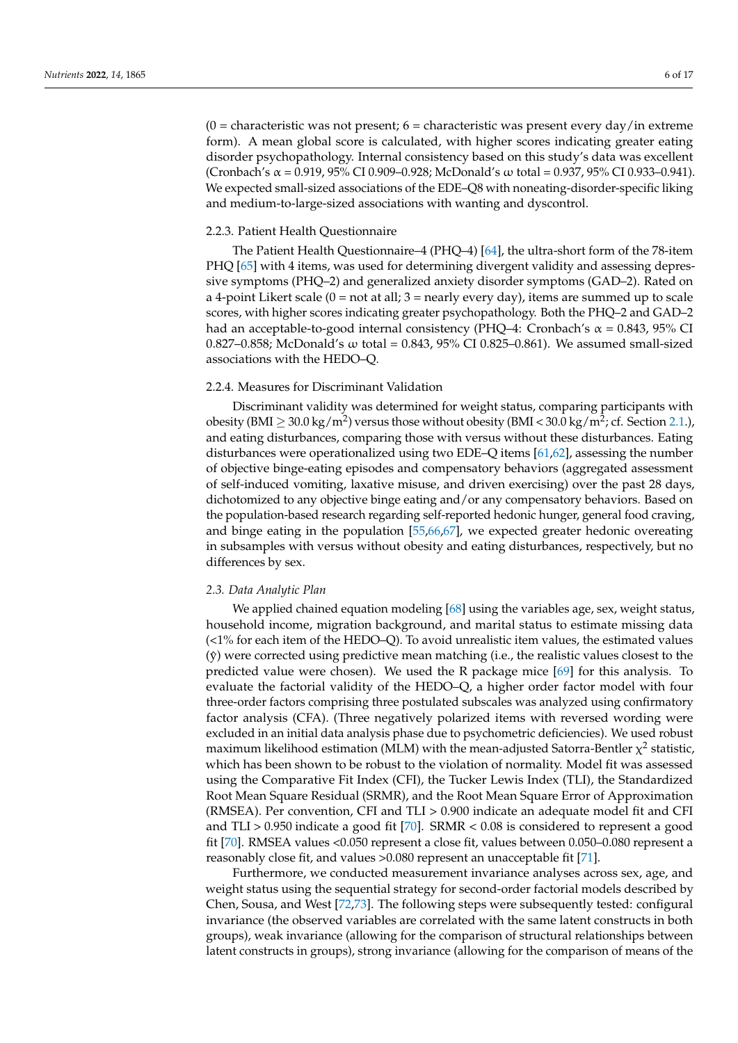$(0 =$  characteristic was not present;  $6 =$  characteristic was present every day/in extreme form). A mean global score is calculated, with higher scores indicating greater eating disorder psychopathology. Internal consistency based on this study's data was excellent (Cronbach's α = 0.919, 95% CI 0.909–0.928; McDonald's ω total = 0.937, 95% CI 0.933–0.941). We expected small-sized associations of the EDE–Q8 with noneating-disorder-specific liking and medium-to-large-sized associations with wanting and dyscontrol.

#### 2.2.3. Patient Health Questionnaire

The Patient Health Questionnaire–4 (PHQ–4) [\[64\]](#page-15-9), the ultra-short form of the 78-item PHQ [\[65\]](#page-15-10) with 4 items, was used for determining divergent validity and assessing depressive symptoms (PHQ–2) and generalized anxiety disorder symptoms (GAD–2). Rated on a 4-point Likert scale  $(0 = not at all; 3 = nearly every day)$ , items are summed up to scale scores, with higher scores indicating greater psychopathology. Both the PHQ–2 and GAD–2 had an acceptable-to-good internal consistency (PHQ–4: Cronbach's  $\alpha$  = 0.843, 95% CI 0.827–0.858; McDonald's ω total = 0.843, 95% CI 0.825–0.861). We assumed small-sized associations with the HEDO–Q.

#### 2.2.4. Measures for Discriminant Validation

Discriminant validity was determined for weight status, comparing participants with obesity (BMI  $\geq 30.0$  kg/m<sup>2</sup>) versus those without obesity (BMI <  $30.0$  kg/m<sup>2</sup>; cf. Section [2.1.](#page-3-1)), and eating disturbances, comparing those with versus without these disturbances. Eating disturbances were operationalized using two EDE–Q items [\[61,](#page-15-6)[62\]](#page-15-7), assessing the number of objective binge-eating episodes and compensatory behaviors (aggregated assessment of self-induced vomiting, laxative misuse, and driven exercising) over the past 28 days, dichotomized to any objective binge eating and/or any compensatory behaviors. Based on the population-based research regarding self-reported hedonic hunger, general food craving, and binge eating in the population [\[55](#page-15-0)[,66](#page-15-11)[,67\]](#page-15-12), we expected greater hedonic overeating in subsamples with versus without obesity and eating disturbances, respectively, but no differences by sex.

#### <span id="page-5-0"></span>*2.3. Data Analytic Plan*

We applied chained equation modeling [\[68\]](#page-15-13) using the variables age, sex, weight status, household income, migration background, and marital status to estimate missing data (<1% for each item of the HEDO–Q). To avoid unrealistic item values, the estimated values  $(\hat{y})$  were corrected using predictive mean matching (i.e., the realistic values closest to the predicted value were chosen). We used the R package mice [\[69\]](#page-15-14) for this analysis. To evaluate the factorial validity of the HEDO–Q, a higher order factor model with four three-order factors comprising three postulated subscales was analyzed using confirmatory factor analysis (CFA). (Three negatively polarized items with reversed wording were excluded in an initial data analysis phase due to psychometric deficiencies). We used robust maximum likelihood estimation (MLM) with the mean-adjusted Satorra-Bentler  $\chi^2$  statistic, which has been shown to be robust to the violation of normality. Model fit was assessed using the Comparative Fit Index (CFI), the Tucker Lewis Index (TLI), the Standardized Root Mean Square Residual (SRMR), and the Root Mean Square Error of Approximation (RMSEA). Per convention, CFI and TLI > 0.900 indicate an adequate model fit and CFI and TLI > 0.950 indicate a good fit [\[70\]](#page-15-15). SRMR < 0.08 is considered to represent a good fit [\[70\]](#page-15-15). RMSEA values <0.050 represent a close fit, values between 0.050–0.080 represent a reasonably close fit, and values >0.080 represent an unacceptable fit [\[71\]](#page-15-16).

Furthermore, we conducted measurement invariance analyses across sex, age, and weight status using the sequential strategy for second-order factorial models described by Chen, Sousa, and West [\[72](#page-15-17)[,73\]](#page-15-18). The following steps were subsequently tested: configural invariance (the observed variables are correlated with the same latent constructs in both groups), weak invariance (allowing for the comparison of structural relationships between latent constructs in groups), strong invariance (allowing for the comparison of means of the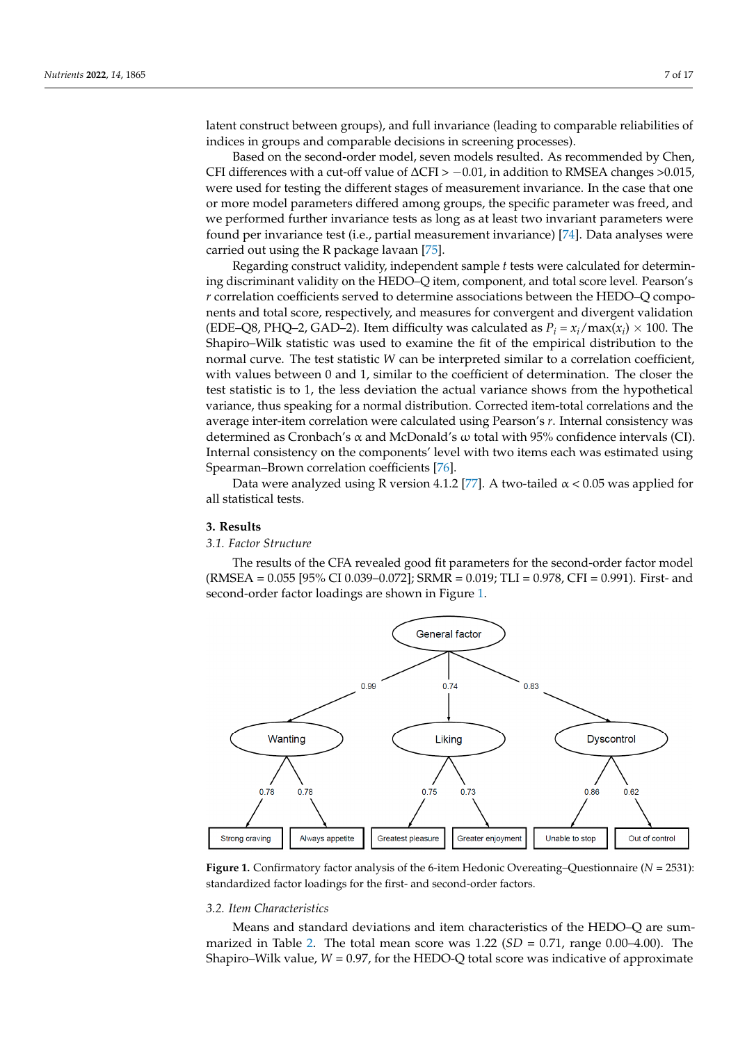latent construct between groups), and full invariance (leading to comparable reliabilities of indices in groups and comparable decisions in screening processes).

Based on the second-order model, seven models resulted. As recommended by Chen, CFI differences with a cut-off value of  $\Delta$ CFI > -0.01, in addition to RMSEA changes >0.015, were used for testing the different stages of measurement invariance. In the case that one or more model parameters differed among groups, the specific parameter was freed, and we performed further invariance tests as long as at least two invariant parameters were found per invariance test (i.e., partial measurement invariance) [\[74\]](#page-15-19). Data analyses were carried out using the R package lavaan [\[75\]](#page-15-20).

Regarding construct validity, independent sample *t* tests were calculated for determining discriminant validity on the HEDO–Q item, component, and total score level. Pearson's *r* correlation coefficients served to determine associations between the HEDO–Q components and total score, respectively, and measures for convergent and divergent validation (EDE–Q8, PHQ–2, GAD–2). Item difficulty was calculated as  $P_i = x_i / max(x_i) \times 100$ . The Shapiro–Wilk statistic was used to examine the fit of the empirical distribution to the normal curve. The test statistic *W* can be interpreted similar to a correlation coefficient, with values between 0 and 1, similar to the coefficient of determination. The closer the test statistic is to 1, the less deviation the actual variance shows from the hypothetical variance, thus speaking for a normal distribution. Corrected item-total correlations and the average inter-item correlation were calculated using Pearson's *r*. Internal consistency was determined as Cronbach's α and McDonald's ω total with 95% confidence intervals (CI). Internal consistency on the components' level with two items each was estimated using Spearman–Brown correlation coefficients [\[76\]](#page-15-21).

Data were analyzed using R version 4.1.2 [\[77\]](#page-15-22). A two-tailed  $\alpha$  < 0.05 was applied for all statistical tests.

## **3. Results**

#### *3.1. Factor Structure*

The results of the CFA revealed good fit parameters for the second-order factor model (RMSEA = 0.055 [95% CI 0.039–0.072]; SRMR = 0.019; TLI = 0.978, CFI = 0.991). First- and second-order factor loadings are shown in Figure [1.](#page-6-0)

<span id="page-6-0"></span>

**Figure 1.** Confirmatory factor analysis of the 6-item Hedonic Overeating–Questionnaire (N = 2531): **Figure 1.** Confirmatory factor analysis of the 6-item Hedonic Overeating–Questionnaire (*N* = 2531): standardized factor loadings for the first- and second-order factors. standardized factor loadings for the first- and second-order factors.

#### *3.2. Item Characteristics*

Means and standard deviations and item characteristics of the HEDO–Q are sum-marized in Table [2.](#page-7-0) The total mean score was 1.22 (*SD* = 0.71, range 0.00–4.00). The  $T_{\text{max}} = 0.07 \pm 0.01$  scorer were good ( $T_{\text{max}} = 0.2$ ) and  $T_{\text{max}} = 0.01$ Shapiro–Wilk value, *W* = 0.97, for the HEDO-Q total score was indicative of approximate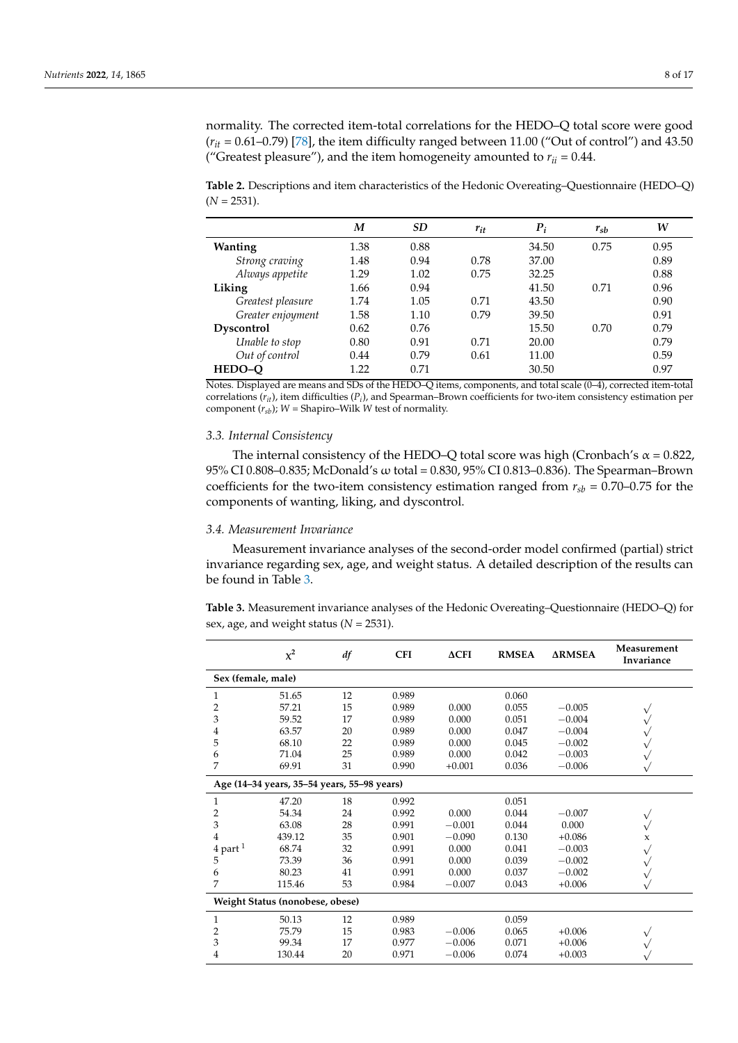normality. The corrected item-total correlations for the HEDO–Q total score were good  $(r_{it} = 0.61$ –0.79) [\[78\]](#page-15-23), the item difficulty ranged between 11.00 ("Out of control") and 43.50 ("Greatest pleasure"), and the item homogeneity amounted to  $r_{ii} = 0.44$ .

<span id="page-7-0"></span>**Table 2.** Descriptions and item characteristics of the Hedonic Overeating–Questionnaire (HEDO–Q)  $(N = 2531)$ .

|                   | M    | <b>SD</b> | $r_{it}$ | $P_i$ | $r_{sb}$ | W    |
|-------------------|------|-----------|----------|-------|----------|------|
| Wanting           | 1.38 | 0.88      |          | 34.50 | 0.75     | 0.95 |
| Strong craving    | 1.48 | 0.94      | 0.78     | 37.00 |          | 0.89 |
| Always appetite   | 1.29 | 1.02      | 0.75     | 32.25 |          | 0.88 |
| Liking            | 1.66 | 0.94      |          | 41.50 | 0.71     | 0.96 |
| Greatest pleasure | 1.74 | 1.05      | 0.71     | 43.50 |          | 0.90 |
| Greater enjoyment | 1.58 | 1.10      | 0.79     | 39.50 |          | 0.91 |
| <b>Dyscontrol</b> | 0.62 | 0.76      |          | 15.50 | 0.70     | 0.79 |
| Unable to stop    | 0.80 | 0.91      | 0.71     | 20.00 |          | 0.79 |
| Out of control    | 0.44 | 0.79      | 0.61     | 11.00 |          | 0.59 |
| HEDO-O            | 1.22 | 0.71      |          | 30.50 |          | 0.97 |

Notes. Displayed are means and SDs of the HEDO–Q items, components, and total scale (0–4), corrected item-total correlations  $(r_{it})$ , item difficulties  $(P_i)$ , and Spearman–Brown coefficients for two-item consistency estimation per component  $(r_{sb})$ ;  $W =$  Shapiro–Wilk  $W$  test of normality.

### *3.3. Internal Consistency*

The internal consistency of the HEDO–Q total score was high (Cronbach's  $\alpha = 0.822$ , 95% CI 0.808–0.835; McDonald's ω total = 0.830, 95% CI 0.813–0.836). The Spearman–Brown coefficients for the two-item consistency estimation ranged from  $r_{sb} = 0.70$ –0.75 for the components of wanting, liking, and dyscontrol.

#### *3.4. Measurement Invariance*

Measurement invariance analyses of the second-order model confirmed (partial) strict invariance regarding sex, age, and weight status. A detailed description of the results can be found in Table [3.](#page-7-1)

<span id="page-7-1"></span>**Table 3.** Measurement invariance analyses of the Hedonic Overeating–Questionnaire (HEDO–Q) for sex, age, and weight status (*N* = 2531).

|                                 | $x^2$                                       | df | <b>CFI</b> | $\Delta$ CFI | <b>RMSEA</b> | <b>ARMSEA</b> | Measurement<br>Invariance |  |  |
|---------------------------------|---------------------------------------------|----|------------|--------------|--------------|---------------|---------------------------|--|--|
| Sex (female, male)              |                                             |    |            |              |              |               |                           |  |  |
| 1                               | 51.65                                       | 12 | 0.989      |              | 0.060        |               |                           |  |  |
| 2                               | 57.21                                       | 15 | 0.989      | 0.000        | 0.055        | $-0.005$      |                           |  |  |
| 3                               | 59.52                                       | 17 | 0.989      | 0.000        | 0.051        | $-0.004$      |                           |  |  |
| 4                               | 63.57                                       | 20 | 0.989      | 0.000        | 0.047        | $-0.004$      |                           |  |  |
| 5                               | 68.10                                       | 22 | 0.989      | 0.000        | 0.045        | $-0.002$      |                           |  |  |
| 6                               | 71.04                                       | 25 | 0.989      | 0.000        | 0.042        | $-0.003$      |                           |  |  |
| 7                               | 69.91                                       | 31 | 0.990      | $+0.001$     | 0.036        | $-0.006$      |                           |  |  |
|                                 | Age (14-34 years, 35-54 years, 55-98 years) |    |            |              |              |               |                           |  |  |
| 1                               | 47.20                                       | 18 | 0.992      |              | 0.051        |               |                           |  |  |
| 2                               | 54.34                                       | 24 | 0.992      | 0.000        | 0.044        | $-0.007$      |                           |  |  |
| 3                               | 63.08                                       | 28 | 0.991      | $-0.001$     | 0.044        | 0.000         | $\checkmark$              |  |  |
| 4                               | 439.12                                      | 35 | 0.901      | $-0.090$     | 0.130        | $+0.086$      | $\boldsymbol{\chi}$       |  |  |
| $4$ part $1$                    | 68.74                                       | 32 | 0.991      | 0.000        | 0.041        | $-0.003$      |                           |  |  |
| 5                               | 73.39                                       | 36 | 0.991      | 0.000        | 0.039        | $-0.002$      |                           |  |  |
| 6                               | 80.23                                       | 41 | 0.991      | 0.000        | 0.037        | $-0.002$      |                           |  |  |
| 7                               | 115.46                                      | 53 | 0.984      | $-0.007$     | 0.043        | $+0.006$      |                           |  |  |
| Weight Status (nonobese, obese) |                                             |    |            |              |              |               |                           |  |  |
| 1                               | 50.13                                       | 12 | 0.989      |              | 0.059        |               |                           |  |  |
| $\overline{2}$                  | 75.79                                       | 15 | 0.983      | $-0.006$     | 0.065        | $+0.006$      |                           |  |  |
| 3                               | 99.34                                       | 17 | 0.977      | $-0.006$     | 0.071        | $+0.006$      |                           |  |  |
| 4                               | 130.44                                      | 20 | 0.971      | $-0.006$     | 0.074        | $+0.003$      |                           |  |  |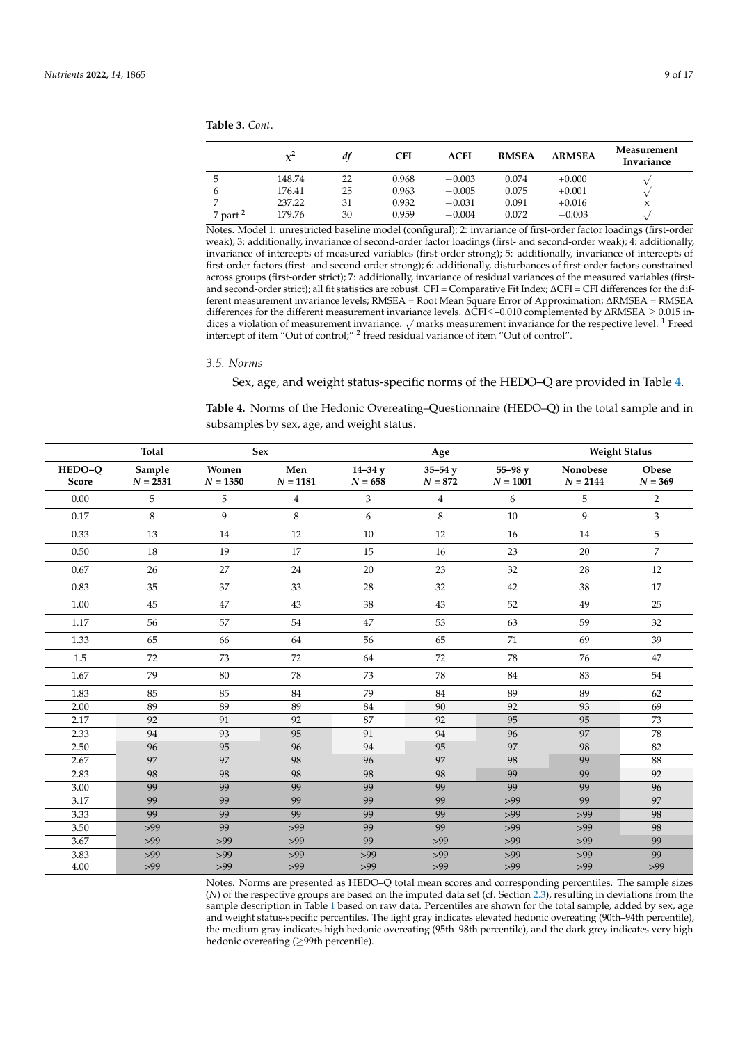**Table 3.** *Cont*.

|               | x      | df | <b>CFI</b> | $\Delta$ CFI | <b>RMSEA</b> | <b>ARMSEA</b> | Measurement<br>Invariance |
|---------------|--------|----|------------|--------------|--------------|---------------|---------------------------|
| 5             | 148.74 | 22 | 0.968      | $-0.003$     | 0.074        | $+0.000$      |                           |
| 6             | 176.41 | 25 | 0.963      | $-0.005$     | 0.075        | $+0.001$      |                           |
|               | 237.22 | 31 | 0.932      | $-0.031$     | 0.091        | $+0.016$      | x                         |
| $7$ part $^2$ | 179.76 | 30 | 0.959      | $-0.004$     | 0.072        | $-0.003$      |                           |

Notes. Model 1: unrestricted baseline model (configural); 2: invariance of first-order factor loadings (first-order weak); 3: additionally, invariance of second-order factor loadings (first- and second-order weak); 4: additionally, invariance of intercepts of measured variables (first-order strong); 5: additionally, invariance of intercepts of first-order factors (first- and second-order strong); 6: additionally, disturbances of first-order factors constrained across groups (first-order strict); 7: additionally, invariance of residual variances of the measured variables (firstand second-order strict); all fit statistics are robust. CFI = Comparative Fit Index; ∆CFI = CFI differences for the different measurement invariance levels; RMSEA = Root Mean Square Error of Approximation; ∆RMSEA = RMSEA differences for the different measurement invariance levels. ∆CFI≤–0.010 complemented by ∆RMSEA ≥ 0.015 indifferences for the different measurement invariance fevels.  $\Delta C$ r $\simeq$ 0.010 complemented by  $\Delta N$ MSEA  $\geq$  0.015 indices a violation of measurement invariance.  $\sqrt{ }$  marks measurement invariance for the respective lev intercept of item "Out of control;" <sup>2</sup> freed residual variance of item "Out of control".

#### *3.5. Norms*

Sex, age, and weight status-specific norms of the HEDO–Q are provided in Table [4.](#page-8-0)

<span id="page-8-0"></span>**Table 4.** Norms of the Hedonic Overeating–Questionnaire (HEDO–Q) in the total sample and in subsamples by sex, age, and weight status.

|                 | Total                |                     | Sex                      |                         | Age                     |                          | <b>Weight Status</b>   |                    |  |
|-----------------|----------------------|---------------------|--------------------------|-------------------------|-------------------------|--------------------------|------------------------|--------------------|--|
| HEDO-Q<br>Score | Sample<br>$N = 2531$ | Women<br>$N = 1350$ | Men<br>${\cal N}$ = 1181 | $14 - 34y$<br>$N = 658$ | $35 - 54y$<br>$N = 872$ | $55 - 98y$<br>$N = 1001$ | Nonobese<br>$N = 2144$ | Obese<br>$N = 369$ |  |
| 0.00            | 5                    | 5                   | $\overline{4}$           | 3                       | $\overline{4}$          | 6                        | 5                      | $\overline{2}$     |  |
| 0.17            | 8                    | 9                   | 8                        | 6                       | 8                       | 10                       | 9                      | 3                  |  |
| 0.33            | 13                   | 14                  | 12                       | 10                      | 12                      | 16                       | 14                     | 5                  |  |
| 0.50            | 18                   | 19                  | 17                       | 15                      | 16                      | 23                       | 20                     | 7                  |  |
| 0.67            | 26                   | 27                  | 24                       | 20                      | 23                      | 32                       | 28                     | 12                 |  |
| 0.83            | 35                   | 37                  | 33                       | 28                      | 32                      | 42                       | 38                     | 17                 |  |
| 1.00            | 45                   | 47                  | 43                       | 38                      | 43                      | 52                       | 49                     | 25                 |  |
| 1.17            | 56                   | 57                  | 54                       | 47                      | 53                      | 63                       | 59                     | 32                 |  |
| 1.33            | 65                   | 66                  | 64                       | 56                      | 65                      | 71                       | 69                     | 39                 |  |
| 1.5             | 72                   | 73                  | 72                       | 64                      | 72                      | 78                       | 76                     | 47                 |  |
| 1.67            | 79                   | 80                  | 78                       | 73                      | 78                      | 84                       | 83                     | 54                 |  |
| 1.83            | 85                   | 85                  | 84                       | 79                      | 84                      | 89                       | 89                     | 62                 |  |
| 2.00            | 89                   | 89                  | 89                       | 84                      | 90                      | 92                       | 93                     | 69                 |  |
| 2.17            | 92                   | 91                  | 92                       | 87                      | 92                      | 95                       | 95                     | 73                 |  |
| 2.33            | 94                   | 93                  | 95                       | 91                      | 94                      | 96                       | 97                     | 78                 |  |
| 2.50            | 96                   | 95                  | 96                       | 94                      | 95                      | 97                       | 98                     | 82                 |  |
| 2.67            | 97                   | 97                  | 98                       | 96                      | $\overline{97}$         | 98                       | 99                     | 88                 |  |
| 2.83            | 98                   | 98                  | 98                       | 98                      | 98                      | 99                       | 99                     | 92                 |  |
| 3.00            | 99                   | 99                  | 99                       | 99                      | 99                      | 99                       | 99                     | 96                 |  |
| 3.17            | 99                   | 99                  | 99                       | 99                      | 99                      | $>99$                    | 99                     | 97                 |  |
| 3.33            | 99                   | 99                  | 99                       | 99                      | 99                      | $>99$                    | $>99$                  | 98                 |  |
| 3.50            | >99                  | 99                  | >99                      | 99                      | 99                      | >99                      | $>99$                  | 98                 |  |
| 3.67            | $>99$                | $>99$               | $>99$                    | 99                      | >99                     | >99                      | >99                    | 99                 |  |
| 3.83            | $>99$                | >99                 | >99                      | $>99$                   | >99                     | >99                      | >99                    | 99                 |  |
| 4.00            | $>99$                | $>99$               | >99                      | >99                     | $>99$                   | >99                      | $>99$                  | $>99$              |  |

Notes. Norms are presented as HEDO–Q total mean scores and corresponding percentiles. The sample sizes (*N*) of the respective groups are based on the imputed data set (cf. Section [2.3\)](#page-5-0), resulting in deviations from the sample description in Table [1](#page-3-0) based on raw data. Percentiles are shown for the total sample, added by sex, age and weight status-specific percentiles. The light gray indicates elevated hedonic overeating (90th–94th percentile), the medium gray indicates high hedonic overeating (95th–98th percentile), and the dark grey indicates very high hedonic overeating (≥99th percentile).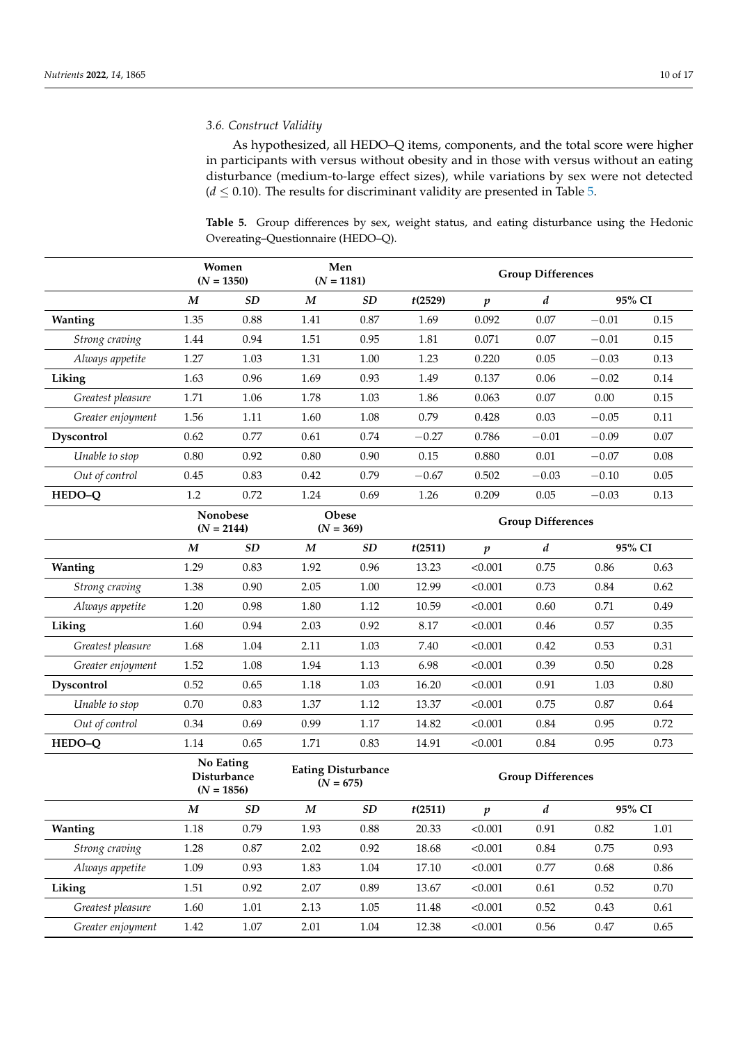# *3.6. Construct Validity*

As hypothesized, all HEDO–Q items, components, and the total score were higher in participants with versus without obesity and in those with versus without an eating disturbance (medium-to-large effect sizes), while variations by sex were not detected ( $d \leq 0.10$ ). The results for discriminant validity are presented in Table [5.](#page-9-0)

<span id="page-9-0"></span>**Table 5.** Group differences by sex, weight status, and eating disturbance using the Hedonic Overeating–Questionnaire (HEDO–Q).

|                   |                  | Women<br>$(N = 1350)$                           |                  | Men<br>$(N = 1181)$                      | <b>Group Differences</b> |                          |                          |         |          |
|-------------------|------------------|-------------------------------------------------|------------------|------------------------------------------|--------------------------|--------------------------|--------------------------|---------|----------|
|                   | $\boldsymbol{M}$ | SD                                              | M                | SD                                       | t(2529)                  | $\boldsymbol{p}$         | $\boldsymbol{d}$         | 95% CI  |          |
| Wanting           | 1.35             | 0.88                                            | 1.41             | 0.87                                     | 1.69                     | 0.092                    | 0.07                     | $-0.01$ | 0.15     |
| Strong craving    | 1.44             | 0.94                                            | 1.51             | 0.95                                     | 1.81                     | 0.071                    | 0.07                     | $-0.01$ | 0.15     |
| Always appetite   | 1.27             | 1.03                                            | 1.31             | 1.00                                     | 1.23                     | 0.220                    | 0.05                     | $-0.03$ | 0.13     |
| Liking            | 1.63             | 0.96                                            | 1.69             | 0.93                                     | 1.49                     | 0.137                    | 0.06                     | $-0.02$ | 0.14     |
| Greatest pleasure | 1.71             | 1.06                                            | 1.78             | 1.03                                     | 1.86                     | 0.063                    | 0.07                     | 0.00    | 0.15     |
| Greater enjoyment | 1.56             | 1.11                                            | 1.60             | 1.08                                     | 0.79                     | 0.428                    | 0.03                     | $-0.05$ | 0.11     |
| <b>Dyscontrol</b> | 0.62             | 0.77                                            | 0.61             | 0.74                                     | $-0.27$                  | 0.786                    | $-0.01$                  | $-0.09$ | 0.07     |
| Unable to stop    | $0.80\,$         | 0.92                                            | 0.80             | 0.90                                     | 0.15                     | 0.880                    | 0.01                     | $-0.07$ | 0.08     |
| Out of control    | 0.45             | 0.83                                            | 0.42             | 0.79                                     | $-0.67$                  | 0.502                    | $-0.03$                  | $-0.10$ | 0.05     |
| HEDO-Q            | 1.2              | 0.72                                            | 1.24             | 0.69                                     | 1.26                     | 0.209                    | 0.05                     | $-0.03$ | 0.13     |
|                   |                  | Nonobese<br>$(N = 2144)$                        |                  | Obese<br>$(N = 369)$                     |                          |                          | <b>Group Differences</b> |         |          |
|                   | $\boldsymbol{M}$ | SD                                              | $\boldsymbol{M}$ | SD                                       | t(2511)                  | $\boldsymbol{p}$         | $\boldsymbol{d}$         | 95% CI  |          |
| Wanting           | 1.29             | 0.83                                            | 1.92             | 0.96                                     | 13.23                    | < 0.001                  | 0.75                     | 0.86    | 0.63     |
| Strong craving    | 1.38             | 0.90                                            | 2.05             | 1.00                                     | 12.99                    | < 0.001                  | 0.73                     | 0.84    | 0.62     |
| Always appetite   | 1.20             | 0.98                                            | 1.80             | 1.12                                     | 10.59                    | < 0.001                  | 0.60                     | 0.71    | 0.49     |
| Liking            | 1.60             | 0.94                                            | 2.03             | 0.92                                     | 8.17                     | < 0.001                  | 0.46                     | 0.57    | 0.35     |
| Greatest pleasure | 1.68             | 1.04                                            | 2.11             | 1.03                                     | 7.40                     | < 0.001                  | 0.42                     | 0.53    | 0.31     |
| Greater enjoyment | 1.52             | 1.08                                            | 1.94             | 1.13                                     | 6.98                     | < 0.001                  | 0.39                     | 0.50    | 0.28     |
| <b>Dyscontrol</b> | 0.52             | 0.65                                            | 1.18             | 1.03                                     | 16.20                    | < 0.001                  | 0.91                     | 1.03    | 0.80     |
| Unable to stop    | 0.70             | 0.83                                            | 1.37             | 1.12                                     | 13.37                    | < 0.001                  | 0.75                     | 0.87    | 0.64     |
| Out of control    | 0.34             | 0.69                                            | 0.99             | 1.17                                     | 14.82                    | < 0.001                  | 0.84                     | 0.95    | 0.72     |
| HEDO-Q            | 1.14             | 0.65                                            | 1.71             | 0.83                                     | 14.91                    | < 0.001                  | 0.84                     | 0.95    | 0.73     |
|                   |                  | No Eating<br><b>Disturbance</b><br>$(N = 1856)$ |                  | <b>Eating Disturbance</b><br>$(N = 675)$ |                          | <b>Group Differences</b> |                          |         |          |
|                   | $\boldsymbol{M}$ | $\boldsymbol{SD}$                               | $\boldsymbol{M}$ | $\boldsymbol{SD}$                        | t(2511)                  | $\boldsymbol{p}$         | $\boldsymbol{d}$         | 95% CI  |          |
| Wanting           | 1.18             | 0.79                                            | 1.93             | 0.88                                     | 20.33                    | < 0.001                  | 0.91                     | 0.82    | 1.01     |
| Strong craving    | 1.28             | $0.87\,$                                        | 2.02             | 0.92                                     | 18.68                    | < 0.001                  | 0.84                     | 0.75    | 0.93     |
| Always appetite   | 1.09             | 0.93                                            | 1.83             | 1.04                                     | 17.10                    | < 0.001                  | 0.77                     | 0.68    | 0.86     |
| Liking            | 1.51             | 0.92                                            | 2.07             | 0.89                                     | 13.67                    | < 0.001                  | 0.61                     | 0.52    | $0.70\,$ |
| Greatest pleasure | 1.60             | 1.01                                            | 2.13             | 1.05                                     | 11.48                    | < 0.001                  | 0.52                     | 0.43    | 0.61     |
| Greater enjoyment | 1.42             | 1.07                                            | 2.01             | $1.04\,$                                 | 12.38                    | < 0.001                  | 0.56                     | 0.47    | 0.65     |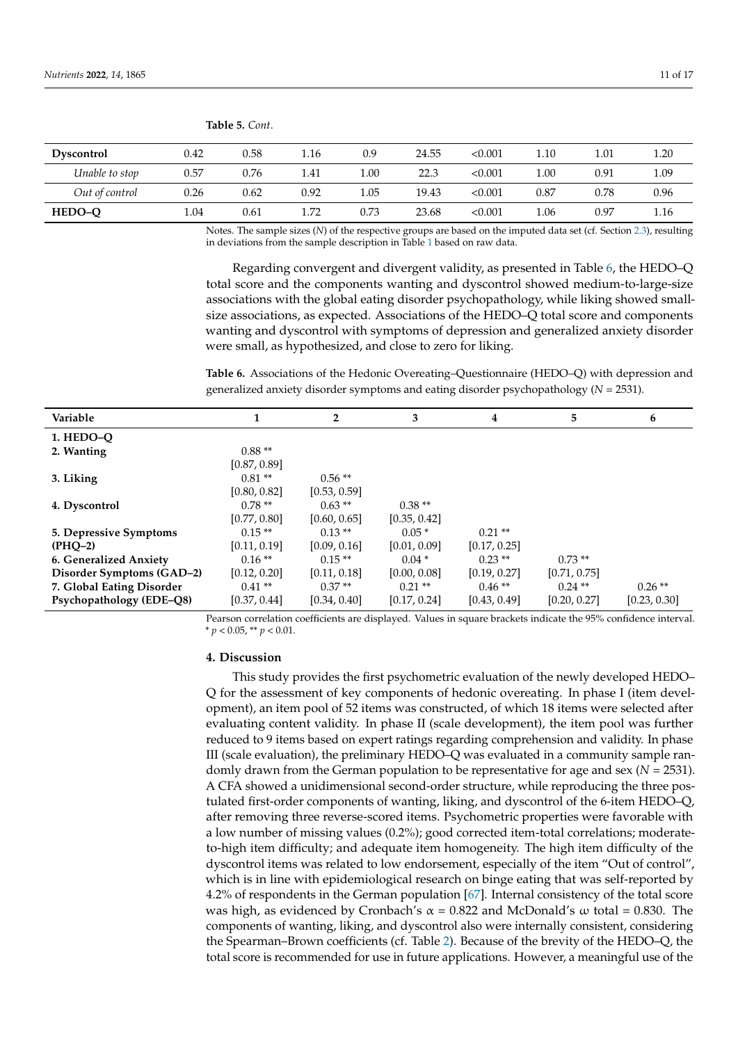| <b>Dyscontrol</b> | 0.42 | 0.58 | l.16 | 0.9  | 24.55 | < 0.001 | 1.10 | $1.01\,$ | 1.20 |
|-------------------|------|------|------|------|-------|---------|------|----------|------|
| Unable to stop    | 0.57 | 0.76 | l.41 | .00  | 22.3  | < 0.001 | 1.00 | 0.91     | 1.09 |
| Out of control    | 0.26 | 0.62 | 0.92 | 1.05 | 19.43 | < 0.001 | 0.87 | 0.78     | 0.96 |
| HEDO-O            | 1.04 | 0.61 | 1.72 | 0.73 | 23.68 | < 0.001 | 1.06 | 0.97     | 1.16 |

**Table 5.** *Cont*.

Notes. The sample sizes (*N*) of the respective groups are based on the imputed data set (cf. Section [2.3\)](#page-5-0), resulting in deviations from the sample description in Table [1](#page-3-0) based on raw data.

Regarding convergent and divergent validity, as presented in Table [6,](#page-10-0) the HEDO–Q total score and the components wanting and dyscontrol showed medium-to-large-size associations with the global eating disorder psychopathology, while liking showed smallsize associations, as expected. Associations of the HEDO–Q total score and components wanting and dyscontrol with symptoms of depression and generalized anxiety disorder were small, as hypothesized, and close to zero for liking.

<span id="page-10-0"></span>**Table 6.** Associations of the Hedonic Overeating–Questionnaire (HEDO–Q) with depression and generalized anxiety disorder symptoms and eating disorder psychopathology (*N* = 2531).

| 1            | $\mathbf{2}$ | 3            | 4            | 5            | 6            |
|--------------|--------------|--------------|--------------|--------------|--------------|
|              |              |              |              |              |              |
| $0.88**$     |              |              |              |              |              |
| [0.87, 0.89] |              |              |              |              |              |
| $0.81**$     | $0.56**$     |              |              |              |              |
| [0.80, 0.82] | [0.53, 0.59] |              |              |              |              |
| $0.78**$     | $0.63**$     | $0.38**$     |              |              |              |
| [0.77, 0.80] | [0.60, 0.65] | [0.35, 0.42] |              |              |              |
| $0.15**$     | $0.13**$     | $0.05*$      | $0.21**$     |              |              |
| [0.11, 0.19] | [0.09, 0.16] | [0.01, 0.09] | [0.17, 0.25] |              |              |
| $0.16**$     | $0.15**$     | $0.04*$      | $0.23**$     | $0.73**$     |              |
| [0.12, 0.20] | [0.11, 0.18] | [0.00, 0.08] | [0.19, 0.27] | [0.71, 0.75] |              |
| $0.41**$     | $0.37**$     | $0.21$ **    | $0.46**$     | $0.24**$     | $0.26**$     |
| [0.37, 0.44] | [0.34, 0.40] | [0.17, 0.24] | [0.43, 0.49] | [0.20, 0.27] | [0.23, 0.30] |
|              |              |              |              |              |              |

Pearson correlation coefficients are displayed. Values in square brackets indicate the 95% confidence interval.  $* p < 0.05$ ,  $* p < 0.01$ .

## **4. Discussion**

This study provides the first psychometric evaluation of the newly developed HEDO– Q for the assessment of key components of hedonic overeating. In phase I (item development), an item pool of 52 items was constructed, of which 18 items were selected after evaluating content validity. In phase II (scale development), the item pool was further reduced to 9 items based on expert ratings regarding comprehension and validity. In phase III (scale evaluation), the preliminary HEDO–Q was evaluated in a community sample randomly drawn from the German population to be representative for age and sex (*N* = 2531). A CFA showed a unidimensional second-order structure, while reproducing the three postulated first-order components of wanting, liking, and dyscontrol of the 6-item HEDO–Q, after removing three reverse-scored items. Psychometric properties were favorable with a low number of missing values (0.2%); good corrected item-total correlations; moderateto-high item difficulty; and adequate item homogeneity. The high item difficulty of the dyscontrol items was related to low endorsement, especially of the item "Out of control", which is in line with epidemiological research on binge eating that was self-reported by 4.2% of respondents in the German population [\[67\]](#page-15-12). Internal consistency of the total score was high, as evidenced by Cronbach's  $\alpha$  = 0.822 and McDonald's  $\omega$  total = 0.830. The components of wanting, liking, and dyscontrol also were internally consistent, considering the Spearman–Brown coefficients (cf. Table [2\)](#page-7-0). Because of the brevity of the HEDO–Q, the total score is recommended for use in future applications. However, a meaningful use of the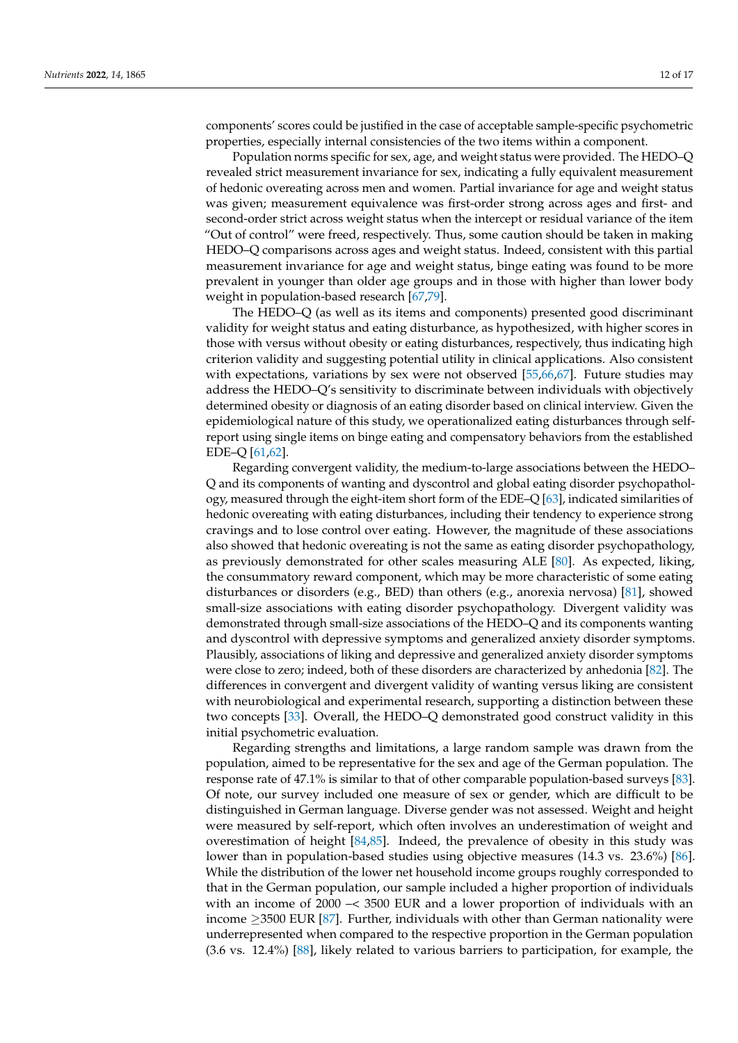components' scores could be justified in the case of acceptable sample-specific psychometric properties, especially internal consistencies of the two items within a component.

Population norms specific for sex, age, and weight status were provided. The HEDO–Q revealed strict measurement invariance for sex, indicating a fully equivalent measurement of hedonic overeating across men and women. Partial invariance for age and weight status was given; measurement equivalence was first-order strong across ages and first- and second-order strict across weight status when the intercept or residual variance of the item "Out of control" were freed, respectively. Thus, some caution should be taken in making HEDO–Q comparisons across ages and weight status. Indeed, consistent with this partial measurement invariance for age and weight status, binge eating was found to be more prevalent in younger than older age groups and in those with higher than lower body weight in population-based research [\[67,](#page-15-12)[79\]](#page-15-24).

The HEDO–Q (as well as its items and components) presented good discriminant validity for weight status and eating disturbance, as hypothesized, with higher scores in those with versus without obesity or eating disturbances, respectively, thus indicating high criterion validity and suggesting potential utility in clinical applications. Also consistent with expectations, variations by sex were not observed [\[55](#page-15-0)[,66,](#page-15-11)[67\]](#page-15-12). Future studies may address the HEDO–Q's sensitivity to discriminate between individuals with objectively determined obesity or diagnosis of an eating disorder based on clinical interview. Given the epidemiological nature of this study, we operationalized eating disturbances through selfreport using single items on binge eating and compensatory behaviors from the established EDE–Q [\[61](#page-15-6)[,62\]](#page-15-7).

Regarding convergent validity, the medium-to-large associations between the HEDO– Q and its components of wanting and dyscontrol and global eating disorder psychopathology, measured through the eight-item short form of the EDE–Q [\[63\]](#page-15-8), indicated similarities of hedonic overeating with eating disturbances, including their tendency to experience strong cravings and to lose control over eating. However, the magnitude of these associations also showed that hedonic overeating is not the same as eating disorder psychopathology, as previously demonstrated for other scales measuring ALE [\[80\]](#page-15-25). As expected, liking, the consummatory reward component, which may be more characteristic of some eating disturbances or disorders (e.g., BED) than others (e.g., anorexia nervosa) [\[81\]](#page-15-26), showed small-size associations with eating disorder psychopathology. Divergent validity was demonstrated through small-size associations of the HEDO–Q and its components wanting and dyscontrol with depressive symptoms and generalized anxiety disorder symptoms. Plausibly, associations of liking and depressive and generalized anxiety disorder symptoms were close to zero; indeed, both of these disorders are characterized by anhedonia [\[82\]](#page-15-27). The differences in convergent and divergent validity of wanting versus liking are consistent with neurobiological and experimental research, supporting a distinction between these two concepts [\[33\]](#page-14-7). Overall, the HEDO–Q demonstrated good construct validity in this initial psychometric evaluation.

Regarding strengths and limitations, a large random sample was drawn from the population, aimed to be representative for the sex and age of the German population. The response rate of 47.1% is similar to that of other comparable population-based surveys [\[83\]](#page-15-28). Of note, our survey included one measure of sex or gender, which are difficult to be distinguished in German language. Diverse gender was not assessed. Weight and height were measured by self-report, which often involves an underestimation of weight and overestimation of height [\[84,](#page-15-29)[85\]](#page-15-30). Indeed, the prevalence of obesity in this study was lower than in population-based studies using objective measures (14.3 vs. 23.6%) [\[86\]](#page-16-0). While the distribution of the lower net household income groups roughly corresponded to that in the German population, our sample included a higher proportion of individuals with an income of 2000 –< 3500 EUR and a lower proportion of individuals with an income  $\geq$  3500 EUR [\[87\]](#page-16-1). Further, individuals with other than German nationality were underrepresented when compared to the respective proportion in the German population (3.6 vs. 12.4%) [\[88\]](#page-16-2), likely related to various barriers to participation, for example, the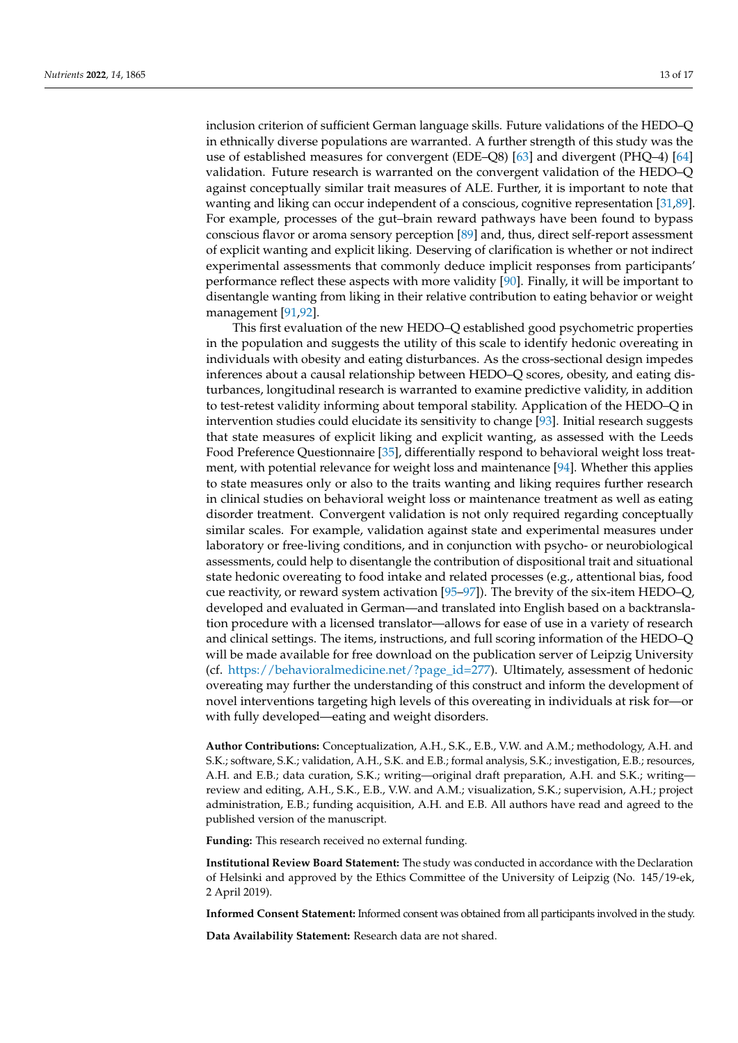inclusion criterion of sufficient German language skills. Future validations of the HEDO–Q in ethnically diverse populations are warranted. A further strength of this study was the use of established measures for convergent (EDE–Q8) [\[63\]](#page-15-8) and divergent (PHQ–4) [\[64\]](#page-15-9) validation. Future research is warranted on the convergent validation of the HEDO–Q against conceptually similar trait measures of ALE. Further, it is important to note that wanting and liking can occur independent of a conscious, cognitive representation [\[31](#page-14-5)[,89\]](#page-16-3). For example, processes of the gut–brain reward pathways have been found to bypass conscious flavor or aroma sensory perception [\[89\]](#page-16-3) and, thus, direct self-report assessment of explicit wanting and explicit liking. Deserving of clarification is whether or not indirect experimental assessments that commonly deduce implicit responses from participants' performance reflect these aspects with more validity [\[90\]](#page-16-4). Finally, it will be important to disentangle wanting from liking in their relative contribution to eating behavior or weight management [\[91,](#page-16-5)[92\]](#page-16-6).

This first evaluation of the new HEDO–Q established good psychometric properties in the population and suggests the utility of this scale to identify hedonic overeating in individuals with obesity and eating disturbances. As the cross-sectional design impedes inferences about a causal relationship between HEDO–Q scores, obesity, and eating disturbances, longitudinal research is warranted to examine predictive validity, in addition to test-retest validity informing about temporal stability. Application of the HEDO–Q in intervention studies could elucidate its sensitivity to change [\[93\]](#page-16-7). Initial research suggests that state measures of explicit liking and explicit wanting, as assessed with the Leeds Food Preference Questionnaire [\[35\]](#page-14-9), differentially respond to behavioral weight loss treatment, with potential relevance for weight loss and maintenance [\[94\]](#page-16-8). Whether this applies to state measures only or also to the traits wanting and liking requires further research in clinical studies on behavioral weight loss or maintenance treatment as well as eating disorder treatment. Convergent validation is not only required regarding conceptually similar scales. For example, validation against state and experimental measures under laboratory or free-living conditions, and in conjunction with psycho- or neurobiological assessments, could help to disentangle the contribution of dispositional trait and situational state hedonic overeating to food intake and related processes (e.g., attentional bias, food cue reactivity, or reward system activation [\[95–](#page-16-9)[97\]](#page-16-10)). The brevity of the six-item HEDO–Q, developed and evaluated in German—and translated into English based on a backtranslation procedure with a licensed translator—allows for ease of use in a variety of research and clinical settings. The items, instructions, and full scoring information of the HEDO–Q will be made available for free download on the publication server of Leipzig University (cf. [https://behavioralmedicine.net/?page\\_id=277\)](https://behavioralmedicine.net/?page_id=277). Ultimately, assessment of hedonic overeating may further the understanding of this construct and inform the development of novel interventions targeting high levels of this overeating in individuals at risk for—or with fully developed—eating and weight disorders.

**Author Contributions:** Conceptualization, A.H., S.K., E.B., V.W. and A.M.; methodology, A.H. and S.K.; software, S.K.; validation, A.H., S.K. and E.B.; formal analysis, S.K.; investigation, E.B.; resources, A.H. and E.B.; data curation, S.K.; writing—original draft preparation, A.H. and S.K.; writing review and editing, A.H., S.K., E.B., V.W. and A.M.; visualization, S.K.; supervision, A.H.; project administration, E.B.; funding acquisition, A.H. and E.B. All authors have read and agreed to the published version of the manuscript.

**Funding:** This research received no external funding.

**Institutional Review Board Statement:** The study was conducted in accordance with the Declaration of Helsinki and approved by the Ethics Committee of the University of Leipzig (No. 145/19-ek, 2 April 2019).

**Informed Consent Statement:** Informed consent was obtained from all participants involved in the study.

**Data Availability Statement:** Research data are not shared.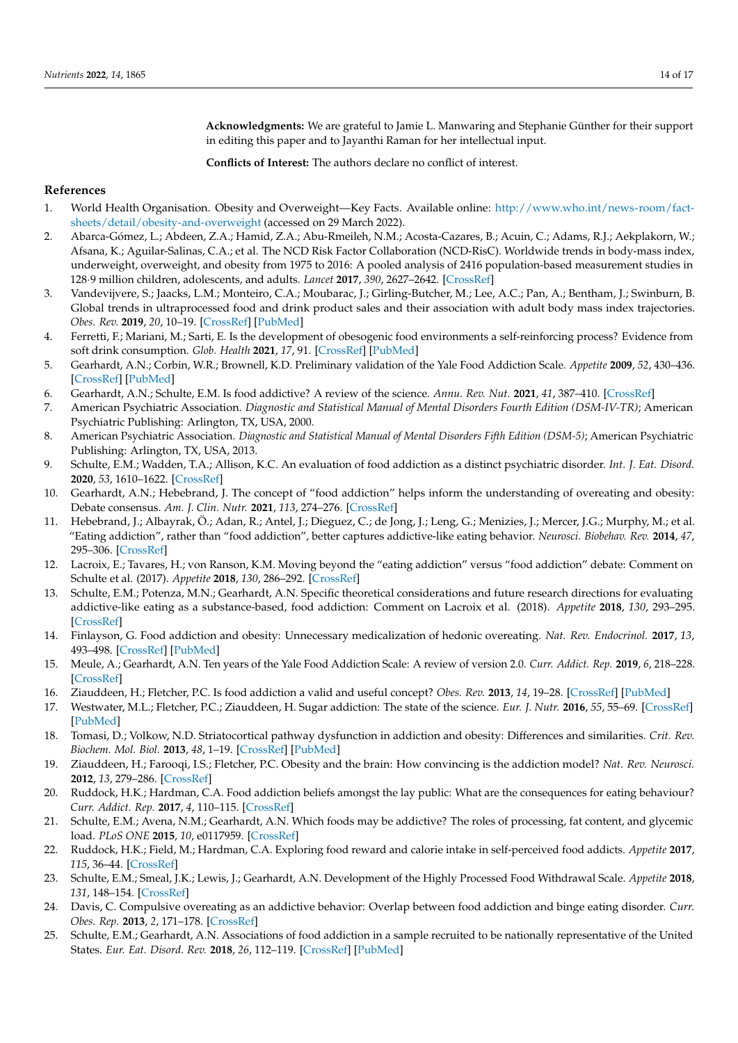**Acknowledgments:** We are grateful to Jamie L. Manwaring and Stephanie Günther for their support in editing this paper and to Jayanthi Raman for her intellectual input.

**Conflicts of Interest:** The authors declare no conflict of interest.

## **References**

- <span id="page-13-0"></span>1. World Health Organisation. Obesity and Overweight—Key Facts. Available online: [http://www.who.int/news-room/fact](http://www.who.int/news-room/fact-sheets/detail/obesity-and-overweight)[sheets/detail/obesity-and-overweight](http://www.who.int/news-room/fact-sheets/detail/obesity-and-overweight) (accessed on 29 March 2022).
- <span id="page-13-1"></span>2. Abarca-Gómez, L.; Abdeen, Z.A.; Hamid, Z.A.; Abu-Rmeileh, N.M.; Acosta-Cazares, B.; Acuin, C.; Adams, R.J.; Aekplakorn, W.; Afsana, K.; Aguilar-Salinas, C.A.; et al. The NCD Risk Factor Collaboration (NCD-RisC). Worldwide trends in body-mass index, underweight, overweight, and obesity from 1975 to 2016: A pooled analysis of 2416 population-based measurement studies in 128·9 million children, adolescents, and adults. *Lancet* **2017**, *390*, 2627–2642. [\[CrossRef\]](http://doi.org/10.1016/S0140-6736(17)32129-3)
- <span id="page-13-2"></span>3. Vandevijvere, S.; Jaacks, L.M.; Monteiro, C.A.; Moubarac, J.; Girling-Butcher, M.; Lee, A.C.; Pan, A.; Bentham, J.; Swinburn, B. Global trends in ultraprocessed food and drink product sales and their association with adult body mass index trajectories. *Obes. Rev.* **2019**, *20*, 10–19. [\[CrossRef\]](http://doi.org/10.1111/obr.12860) [\[PubMed\]](http://www.ncbi.nlm.nih.gov/pubmed/31099480)
- <span id="page-13-3"></span>4. Ferretti, F.; Mariani, M.; Sarti, E. Is the development of obesogenic food environments a self-reinforcing process? Evidence from soft drink consumption. *Glob. Health* **2021**, *17*, 91. [\[CrossRef\]](http://doi.org/10.1186/s12992-021-00735-y) [\[PubMed\]](http://www.ncbi.nlm.nih.gov/pubmed/34407853)
- <span id="page-13-4"></span>5. Gearhardt, A.N.; Corbin, W.R.; Brownell, K.D. Preliminary validation of the Yale Food Addiction Scale. *Appetite* **2009**, *52*, 430–436. [\[CrossRef\]](http://doi.org/10.1016/j.appet.2008.12.003) [\[PubMed\]](http://www.ncbi.nlm.nih.gov/pubmed/19121351)
- <span id="page-13-5"></span>6. Gearhardt, A.N.; Schulte, E.M. Is food addictive? A review of the science. *Annu. Rev. Nut.* **2021**, *41*, 387–410. [\[CrossRef\]](http://doi.org/10.1146/annurev-nutr-110420-111710)
- <span id="page-13-6"></span>7. American Psychiatric Association. *Diagnostic and Statistical Manual of Mental Disorders Fourth Edition (DSM-IV-TR)*; American Psychiatric Publishing: Arlington, TX, USA, 2000.
- <span id="page-13-7"></span>8. American Psychiatric Association. *Diagnostic and Statistical Manual of Mental Disorders Fifth Edition (DSM-5)*; American Psychiatric Publishing: Arlington, TX, USA, 2013.
- <span id="page-13-8"></span>9. Schulte, E.M.; Wadden, T.A.; Allison, K.C. An evaluation of food addiction as a distinct psychiatric disorder. *Int. J. Eat. Disord.* **2020**, *53*, 1610–1622. [\[CrossRef\]](http://doi.org/10.1002/eat.23350)
- <span id="page-13-9"></span>10. Gearhardt, A.N.; Hebebrand, J. The concept of "food addiction" helps inform the understanding of overeating and obesity: Debate consensus. *Am. J. Clin. Nutr.* **2021**, *113*, 274–276. [\[CrossRef\]](http://doi.org/10.1093/ajcn/nqaa345)
- <span id="page-13-20"></span>11. Hebebrand, J.; Albayrak, Ö.; Adan, R.; Antel, J.; Dieguez, C.; de Jong, J.; Leng, G.; Menizies, J.; Mercer, J.G.; Murphy, M.; et al. "Eating addiction", rather than "food addiction", better captures addictive-like eating behavior. *Neurosci. Biobehav. Rev.* **2014**, *47*, 295–306. [\[CrossRef\]](http://doi.org/10.1016/j.neubiorev.2014.08.016)
- <span id="page-13-23"></span>12. Lacroix, E.; Tavares, H.; von Ranson, K.M. Moving beyond the "eating addiction" versus "food addiction" debate: Comment on Schulte et al. (2017). *Appetite* **2018**, *130*, 286–292. [\[CrossRef\]](http://doi.org/10.1016/j.appet.2018.06.025)
- 13. Schulte, E.M.; Potenza, M.N.; Gearhardt, A.N. Specific theoretical considerations and future research directions for evaluating addictive-like eating as a substance-based, food addiction: Comment on Lacroix et al. (2018). *Appetite* **2018**, *130*, 293–295. [\[CrossRef\]](http://doi.org/10.1016/j.appet.2018.06.026)
- <span id="page-13-10"></span>14. Finlayson, G. Food addiction and obesity: Unnecessary medicalization of hedonic overeating. *Nat. Rev. Endocrinol.* **2017**, *13*, 493–498. [\[CrossRef\]](http://doi.org/10.1038/nrendo.2017.61) [\[PubMed\]](http://www.ncbi.nlm.nih.gov/pubmed/28549063)
- <span id="page-13-11"></span>15. Meule, A.; Gearhardt, A.N. Ten years of the Yale Food Addiction Scale: A review of version 2.0. *Curr. Addict. Rep.* **2019**, *6*, 218–228. [\[CrossRef\]](http://doi.org/10.1007/s40429-019-00261-3)
- <span id="page-13-12"></span>16. Ziauddeen, H.; Fletcher, P.C. Is food addiction a valid and useful concept? *Obes. Rev.* **2013**, *14*, 19–28. [\[CrossRef\]](http://doi.org/10.1111/j.1467-789X.2012.01046.x) [\[PubMed\]](http://www.ncbi.nlm.nih.gov/pubmed/23057499)
- <span id="page-13-13"></span>17. Westwater, M.L.; Fletcher, P.C.; Ziauddeen, H. Sugar addiction: The state of the science. *Eur. J. Nutr.* **2016**, *55*, 55–69. [\[CrossRef\]](http://doi.org/10.1007/s00394-016-1229-6) [\[PubMed\]](http://www.ncbi.nlm.nih.gov/pubmed/27372453)
- <span id="page-13-14"></span>18. Tomasi, D.; Volkow, N.D. Striatocortical pathway dysfunction in addiction and obesity: Differences and similarities. *Crit. Rev. Biochem. Mol. Biol.* **2013**, *48*, 1–19. [\[CrossRef\]](http://doi.org/10.3109/10409238.2012.735642) [\[PubMed\]](http://www.ncbi.nlm.nih.gov/pubmed/23173916)
- <span id="page-13-15"></span>19. Ziauddeen, H.; Farooqi, I.S.; Fletcher, P.C. Obesity and the brain: How convincing is the addiction model? *Nat. Rev. Neurosci.* **2012**, *13*, 279–286. [\[CrossRef\]](http://doi.org/10.1038/nrn3212)
- <span id="page-13-16"></span>20. Ruddock, H.K.; Hardman, C.A. Food addiction beliefs amongst the lay public: What are the consequences for eating behaviour? *Curr. Addict. Rep.* **2017**, *4*, 110–115. [\[CrossRef\]](http://doi.org/10.1007/s40429-017-0136-0)
- <span id="page-13-17"></span>21. Schulte, E.M.; Avena, N.M.; Gearhardt, A.N. Which foods may be addictive? The roles of processing, fat content, and glycemic load. *PLoS ONE* **2015**, *10*, e0117959. [\[CrossRef\]](http://doi.org/10.1371/journal.pone.0117959)
- <span id="page-13-18"></span>22. Ruddock, H.K.; Field, M.; Hardman, C.A. Exploring food reward and calorie intake in self-perceived food addicts. *Appetite* **2017**, *115*, 36–44. [\[CrossRef\]](http://doi.org/10.1016/j.appet.2016.12.003)
- <span id="page-13-19"></span>23. Schulte, E.M.; Smeal, J.K.; Lewis, J.; Gearhardt, A.N. Development of the Highly Processed Food Withdrawal Scale. *Appetite* **2018**, *131*, 148–154. [\[CrossRef\]](http://doi.org/10.1016/j.appet.2018.09.013)
- <span id="page-13-21"></span>24. Davis, C. Compulsive overeating as an addictive behavior: Overlap between food addiction and binge eating disorder. *Curr. Obes. Rep.* **2013**, *2*, 171–178. [\[CrossRef\]](http://doi.org/10.1007/s13679-013-0049-8)
- <span id="page-13-22"></span>25. Schulte, E.M.; Gearhardt, A.N. Associations of food addiction in a sample recruited to be nationally representative of the United States. *Eur. Eat. Disord. Rev.* **2018**, *26*, 112–119. [\[CrossRef\]](http://doi.org/10.1002/erv.2575) [\[PubMed\]](http://www.ncbi.nlm.nih.gov/pubmed/29266583)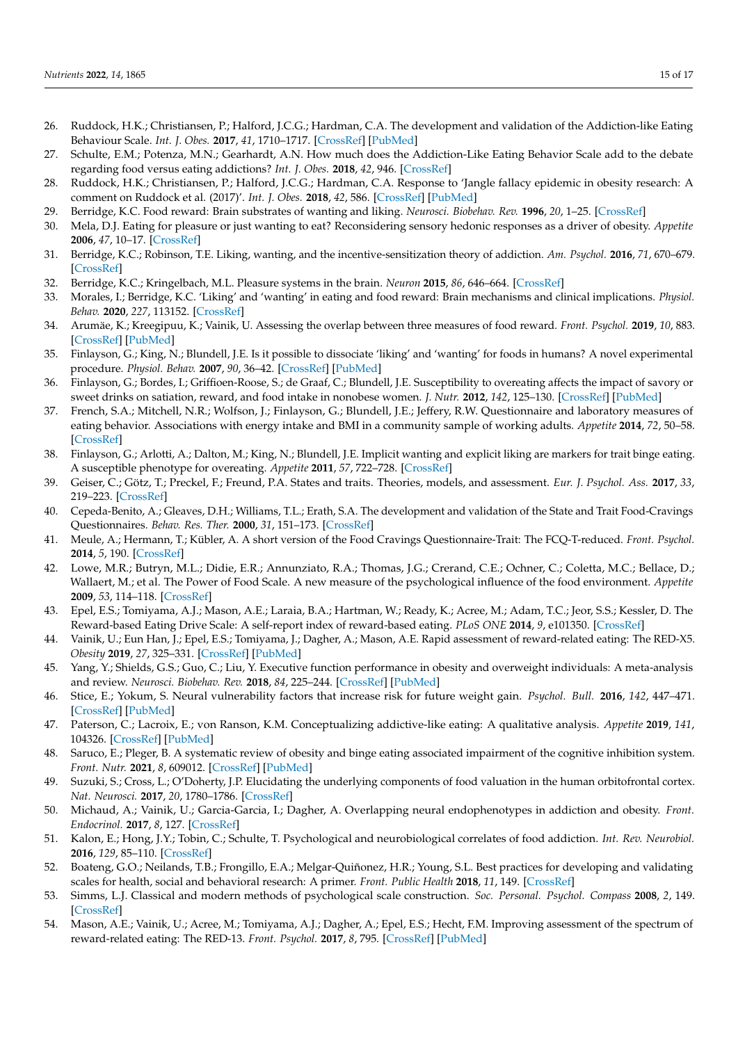- <span id="page-14-0"></span>26. Ruddock, H.K.; Christiansen, P.; Halford, J.C.G.; Hardman, C.A. The development and validation of the Addiction-like Eating Behaviour Scale. *Int. J. Obes.* **2017**, *41*, 1710–1717. [\[CrossRef\]](http://doi.org/10.1038/ijo.2017.158) [\[PubMed\]](http://www.ncbi.nlm.nih.gov/pubmed/28676680)
- <span id="page-14-1"></span>27. Schulte, E.M.; Potenza, M.N.; Gearhardt, A.N. How much does the Addiction-Like Eating Behavior Scale add to the debate regarding food versus eating addictions? *Int. J. Obes.* **2018**, *42*, 946. [\[CrossRef\]](http://doi.org/10.1038/ijo.2017.265)
- <span id="page-14-2"></span>28. Ruddock, H.K.; Christiansen, P.; Halford, J.C.G.; Hardman, C.A. Response to 'Jangle fallacy epidemic in obesity research: A comment on Ruddock et al. (2017)'. *Int. J. Obes.* **2018**, *42*, 586. [\[CrossRef\]](http://doi.org/10.1038/ijo.2017.290) [\[PubMed\]](http://www.ncbi.nlm.nih.gov/pubmed/29211706)
- <span id="page-14-3"></span>29. Berridge, K.C. Food reward: Brain substrates of wanting and liking. *Neurosci. Biobehav. Rev.* **1996**, *20*, 1–25. [\[CrossRef\]](http://doi.org/10.1016/0149-7634(95)00033-B)
- <span id="page-14-4"></span>30. Mela, D.J. Eating for pleasure or just wanting to eat? Reconsidering sensory hedonic responses as a driver of obesity. *Appetite* **2006**, *47*, 10–17. [\[CrossRef\]](http://doi.org/10.1016/j.appet.2006.02.006)
- <span id="page-14-5"></span>31. Berridge, K.C.; Robinson, T.E. Liking, wanting, and the incentive-sensitization theory of addiction. *Am. Psychol.* **2016**, *71*, 670–679. [\[CrossRef\]](http://doi.org/10.1037/amp0000059)
- <span id="page-14-6"></span>32. Berridge, K.C.; Kringelbach, M.L. Pleasure systems in the brain. *Neuron* **2015**, *86*, 646–664. [\[CrossRef\]](http://doi.org/10.1016/j.neuron.2015.02.018)
- <span id="page-14-7"></span>33. Morales, I.; Berridge, K.C. 'Liking' and 'wanting' in eating and food reward: Brain mechanisms and clinical implications. *Physiol. Behav.* **2020**, *227*, 113152. [\[CrossRef\]](http://doi.org/10.1016/j.physbeh.2020.113152)
- <span id="page-14-8"></span>34. Arumäe, K.; Kreegipuu, K.; Vainik, U. Assessing the overlap between three measures of food reward. *Front. Psychol.* **2019**, *10*, 883. [\[CrossRef\]](http://doi.org/10.3389/fpsyg.2019.00883) [\[PubMed\]](http://www.ncbi.nlm.nih.gov/pubmed/31133914)
- <span id="page-14-9"></span>35. Finlayson, G.; King, N.; Blundell, J.E. Is it possible to dissociate 'liking' and 'wanting' for foods in humans? A novel experimental procedure. *Physiol. Behav.* **2007**, *90*, 36–42. [\[CrossRef\]](http://doi.org/10.1016/j.physbeh.2006.08.020) [\[PubMed\]](http://www.ncbi.nlm.nih.gov/pubmed/17052736)
- <span id="page-14-10"></span>36. Finlayson, G.; Bordes, I.; Griffioen-Roose, S.; de Graaf, C.; Blundell, J.E. Susceptibility to overeating affects the impact of savory or sweet drinks on satiation, reward, and food intake in nonobese women. *J. Nutr.* **2012**, *142*, 125–130. [\[CrossRef\]](http://doi.org/10.3945/jn.111.148106) [\[PubMed\]](http://www.ncbi.nlm.nih.gov/pubmed/22131553)
- <span id="page-14-11"></span>37. French, S.A.; Mitchell, N.R.; Wolfson, J.; Finlayson, G.; Blundell, J.E.; Jeffery, R.W. Questionnaire and laboratory measures of eating behavior. Associations with energy intake and BMI in a community sample of working adults. *Appetite* **2014**, *72*, 50–58. [\[CrossRef\]](http://doi.org/10.1016/j.appet.2013.09.020)
- <span id="page-14-12"></span>38. Finlayson, G.; Arlotti, A.; Dalton, M.; King, N.; Blundell, J.E. Implicit wanting and explicit liking are markers for trait binge eating. A susceptible phenotype for overeating. *Appetite* **2011**, *57*, 722–728. [\[CrossRef\]](http://doi.org/10.1016/j.appet.2011.08.012)
- <span id="page-14-13"></span>39. Geiser, C.; Götz, T.; Preckel, F.; Freund, P.A. States and traits. Theories, models, and assessment. *Eur. J. Psychol. Ass.* **2017**, *33*, 219–223. [\[CrossRef\]](http://doi.org/10.1027/1015-5759/a000413)
- <span id="page-14-14"></span>40. Cepeda-Benito, A.; Gleaves, D.H.; Williams, T.L.; Erath, S.A. The development and validation of the State and Trait Food-Cravings Questionnaires. *Behav. Res. Ther.* **2000**, *31*, 151–173. [\[CrossRef\]](http://doi.org/10.1016/S0005-7894(00)80009-X)
- <span id="page-14-15"></span>41. Meule, A.; Hermann, T.; Kübler, A. A short version of the Food Cravings Questionnaire-Trait: The FCQ-T-reduced. *Front. Psychol.* **2014**, *5*, 190. [\[CrossRef\]](http://doi.org/10.3389/fpsyg.2014.00190)
- <span id="page-14-16"></span>42. Lowe, M.R.; Butryn, M.L.; Didie, E.R.; Annunziato, R.A.; Thomas, J.G.; Crerand, C.E.; Ochner, C.; Coletta, M.C.; Bellace, D.; Wallaert, M.; et al. The Power of Food Scale. A new measure of the psychological influence of the food environment. *Appetite* **2009**, *53*, 114–118. [\[CrossRef\]](http://doi.org/10.1016/j.appet.2009.05.016)
- <span id="page-14-17"></span>43. Epel, E.S.; Tomiyama, A.J.; Mason, A.E.; Laraia, B.A.; Hartman, W.; Ready, K.; Acree, M.; Adam, T.C.; Jeor, S.S.; Kessler, D. The Reward-based Eating Drive Scale: A self-report index of reward-based eating. *PLoS ONE* **2014**, *9*, e101350. [\[CrossRef\]](http://doi.org/10.1371/journal.pone.0101350)
- <span id="page-14-18"></span>44. Vainik, U.; Eun Han, J.; Epel, E.S.; Tomiyama, J.; Dagher, A.; Mason, A.E. Rapid assessment of reward-related eating: The RED-X5. *Obesity* **2019**, *27*, 325–331. [\[CrossRef\]](http://doi.org/10.1002/oby.22374) [\[PubMed\]](http://www.ncbi.nlm.nih.gov/pubmed/30677261)
- <span id="page-14-19"></span>45. Yang, Y.; Shields, G.S.; Guo, C.; Liu, Y. Executive function performance in obesity and overweight individuals: A meta-analysis and review. *Neurosci. Biobehav. Rev.* **2018**, *84*, 225–244. [\[CrossRef\]](http://doi.org/10.1016/j.neubiorev.2017.11.020) [\[PubMed\]](http://www.ncbi.nlm.nih.gov/pubmed/29203421)
- <span id="page-14-20"></span>46. Stice, E.; Yokum, S. Neural vulnerability factors that increase risk for future weight gain. *Psychol. Bull.* **2016**, *142*, 447–471. [\[CrossRef\]](http://doi.org/10.1037/bul0000044) [\[PubMed\]](http://www.ncbi.nlm.nih.gov/pubmed/26854866)
- <span id="page-14-21"></span>47. Paterson, C.; Lacroix, E.; von Ranson, K.M. Conceptualizing addictive-like eating: A qualitative analysis. *Appetite* **2019**, *141*, 104326. [\[CrossRef\]](http://doi.org/10.1016/j.appet.2019.104326) [\[PubMed\]](http://www.ncbi.nlm.nih.gov/pubmed/31228506)
- <span id="page-14-22"></span>48. Saruco, E.; Pleger, B. A systematic review of obesity and binge eating associated impairment of the cognitive inhibition system. *Front. Nutr.* **2021**, *8*, 609012. [\[CrossRef\]](http://doi.org/10.3389/fnut.2021.609012) [\[PubMed\]](http://www.ncbi.nlm.nih.gov/pubmed/33996871)
- <span id="page-14-23"></span>49. Suzuki, S.; Cross, L.; O'Doherty, J.P. Elucidating the underlying components of food valuation in the human orbitofrontal cortex. *Nat. Neurosci.* **2017**, *20*, 1780–1786. [\[CrossRef\]](http://doi.org/10.1038/s41593-017-0008-x)
- <span id="page-14-24"></span>50. Michaud, A.; Vainik, U.; Garcia-Garcia, I.; Dagher, A. Overlapping neural endophenotypes in addiction and obesity. *Front. Endocrinol.* **2017**, *8*, 127. [\[CrossRef\]](http://doi.org/10.3389/fendo.2017.00127)
- <span id="page-14-25"></span>51. Kalon, E.; Hong, J.Y.; Tobin, C.; Schulte, T. Psychological and neurobiological correlates of food addiction. *Int. Rev. Neurobiol.* **2016**, *129*, 85–110. [\[CrossRef\]](http://doi.org/10.1016/bs.irn.2016.06.003)
- <span id="page-14-26"></span>52. Boateng, G.O.; Neilands, T.B.; Frongillo, E.A.; Melgar-Quiñonez, H.R.; Young, S.L. Best practices for developing and validating scales for health, social and behavioral research: A primer. *Front. Public Health* **2018**, *11*, 149. [\[CrossRef\]](http://doi.org/10.3389/fpubh.2018.00149)
- <span id="page-14-27"></span>53. Simms, L.J. Classical and modern methods of psychological scale construction. *Soc. Personal. Psychol. Compass* **2008**, *2*, 149. [\[CrossRef\]](http://doi.org/10.1111/j.1751-9004.2007.00044.x)
- <span id="page-14-28"></span>54. Mason, A.E.; Vainik, U.; Acree, M.; Tomiyama, A.J.; Dagher, A.; Epel, E.S.; Hecht, F.M. Improving assessment of the spectrum of reward-related eating: The RED-13. *Front. Psychol.* **2017**, *8*, 795. [\[CrossRef\]](http://doi.org/10.3389/fpsyg.2017.00795) [\[PubMed\]](http://www.ncbi.nlm.nih.gov/pubmed/28611698)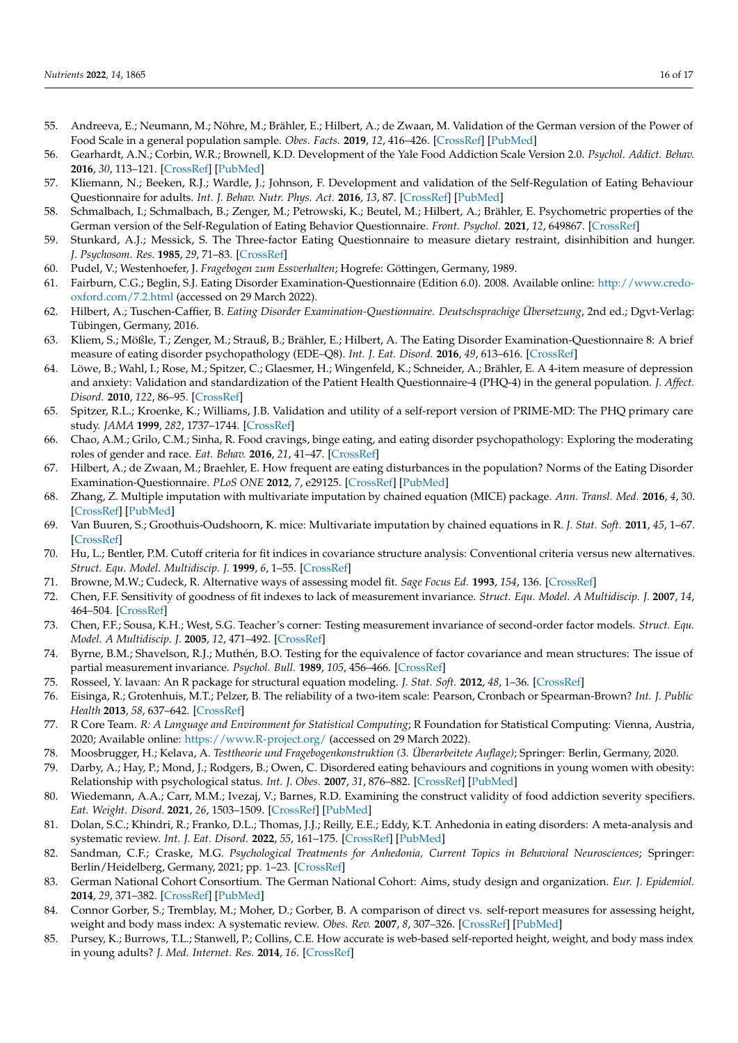- <span id="page-15-0"></span>55. Andreeva, E.; Neumann, M.; Nöhre, M.; Brähler, E.; Hilbert, A.; de Zwaan, M. Validation of the German version of the Power of Food Scale in a general population sample. *Obes. Facts.* **2019**, *12*, 416–426. [\[CrossRef\]](http://doi.org/10.1159/000500489) [\[PubMed\]](http://www.ncbi.nlm.nih.gov/pubmed/31266028)
- <span id="page-15-1"></span>56. Gearhardt, A.N.; Corbin, W.R.; Brownell, K.D. Development of the Yale Food Addiction Scale Version 2.0. *Psychol. Addict. Behav.* **2016**, *30*, 113–121. [\[CrossRef\]](http://doi.org/10.1037/adb0000136) [\[PubMed\]](http://www.ncbi.nlm.nih.gov/pubmed/26866783)
- <span id="page-15-2"></span>57. Kliemann, N.; Beeken, R.J.; Wardle, J.; Johnson, F. Development and validation of the Self-Regulation of Eating Behaviour Questionnaire for adults. *Int. J. Behav. Nutr. Phys. Act.* **2016**, *13*, 87. [\[CrossRef\]](http://doi.org/10.1186/s12966-016-0414-6) [\[PubMed\]](http://www.ncbi.nlm.nih.gov/pubmed/27484457)
- <span id="page-15-3"></span>58. Schmalbach, I.; Schmalbach, B.; Zenger, M.; Petrowski, K.; Beutel, M.; Hilbert, A.; Brähler, E. Psychometric properties of the German version of the Self-Regulation of Eating Behavior Questionnaire. *Front. Psychol.* **2021**, *12*, 649867. [\[CrossRef\]](http://doi.org/10.3389/fpsyg.2021.649867)
- <span id="page-15-4"></span>59. Stunkard, A.J.; Messick, S. The Three-factor Eating Questionnaire to measure dietary restraint, disinhibition and hunger. *J. Psychosom. Res.* **1985**, *29*, 71–83. [\[CrossRef\]](http://doi.org/10.1016/0022-3999(85)90010-8)
- <span id="page-15-5"></span>60. Pudel, V.; Westenhoefer, J. *Fragebogen zum Essverhalten*; Hogrefe: Göttingen, Germany, 1989.
- <span id="page-15-6"></span>61. Fairburn, C.G.; Beglin, S.J. Eating Disorder Examination-Questionnaire (Edition 6.0). 2008. Available online: [http://www.credo](http://www.credo-oxford.com/7.2.html)[oxford.com/7.2.html](http://www.credo-oxford.com/7.2.html) (accessed on 29 March 2022).
- <span id="page-15-7"></span>62. Hilbert, A.; Tuschen-Caffier, B. *Eating Disorder Examination-Questionnaire. Deutschsprachige Übersetzung*, 2nd ed.; Dgvt-Verlag: Tübingen, Germany, 2016.
- <span id="page-15-8"></span>63. Kliem, S.; Mößle, T.; Zenger, M.; Strauß, B.; Brähler, E.; Hilbert, A. The Eating Disorder Examination-Questionnaire 8: A brief measure of eating disorder psychopathology (EDE–Q8). *Int. J. Eat. Disord.* **2016**, *49*, 613–616. [\[CrossRef\]](http://doi.org/10.1002/eat.22487)
- <span id="page-15-9"></span>64. Löwe, B.; Wahl, I.; Rose, M.; Spitzer, C.; Glaesmer, H.; Wingenfeld, K.; Schneider, A.; Brähler, E. A 4-item measure of depression and anxiety: Validation and standardization of the Patient Health Questionnaire-4 (PHQ-4) in the general population. *J. Affect. Disord.* **2010**, *122*, 86–95. [\[CrossRef\]](http://doi.org/10.1016/j.jad.2009.06.019)
- <span id="page-15-10"></span>65. Spitzer, R.L.; Kroenke, K.; Williams, J.B. Validation and utility of a self-report version of PRIME-MD: The PHQ primary care study. *JAMA* **1999**, *282*, 1737–1744. [\[CrossRef\]](http://doi.org/10.1001/jama.282.18.1737)
- <span id="page-15-11"></span>66. Chao, A.M.; Grilo, C.M.; Sinha, R. Food cravings, binge eating, and eating disorder psychopathology: Exploring the moderating roles of gender and race. *Eat. Behav.* **2016**, *21*, 41–47. [\[CrossRef\]](http://doi.org/10.1016/j.eatbeh.2015.12.007)
- <span id="page-15-12"></span>67. Hilbert, A.; de Zwaan, M.; Braehler, E. How frequent are eating disturbances in the population? Norms of the Eating Disorder Examination-Questionnaire. *PLoS ONE* **2012**, *7*, e29125. [\[CrossRef\]](http://doi.org/10.1371/journal.pone.0029125) [\[PubMed\]](http://www.ncbi.nlm.nih.gov/pubmed/22279527)
- <span id="page-15-13"></span>68. Zhang, Z. Multiple imputation with multivariate imputation by chained equation (MICE) package. *Ann. Transl. Med.* **2016**, *4*, 30. [\[CrossRef\]](http://doi.org/10.3978/j.issn.2305-5839.2015.12.36) [\[PubMed\]](http://www.ncbi.nlm.nih.gov/pubmed/26889483)
- <span id="page-15-14"></span>69. Van Buuren, S.; Groothuis-Oudshoorn, K. mice: Multivariate imputation by chained equations in R. *J. Stat. Soft.* **2011**, *45*, 1–67. [\[CrossRef\]](http://doi.org/10.18637/jss.v045.i03)
- <span id="page-15-15"></span>70. Hu, L.; Bentler, P.M. Cutoff criteria for fit indices in covariance structure analysis: Conventional criteria versus new alternatives. *Struct. Equ. Model. Multidiscip. J.* **1999**, *6*, 1–55. [\[CrossRef\]](http://doi.org/10.1080/10705519909540118)
- <span id="page-15-16"></span>71. Browne, M.W.; Cudeck, R. Alternative ways of assessing model fit. *Sage Focus Ed.* **1993**, *154*, 136. [\[CrossRef\]](http://doi.org/10.1177/0049124192021002005)
- <span id="page-15-17"></span>72. Chen, F.F. Sensitivity of goodness of fit indexes to lack of measurement invariance. *Struct. Equ. Model. A Multidiscip. J.* **2007**, *14*, 464–504. [\[CrossRef\]](http://doi.org/10.1080/10705510701301834)
- <span id="page-15-18"></span>73. Chen, F.F.; Sousa, K.H.; West, S.G. Teacher's corner: Testing measurement invariance of second-order factor models. *Struct. Equ. Model. A Multidiscip. J.* **2005**, *12*, 471–492. [\[CrossRef\]](http://doi.org/10.1207/s15328007sem1203_7)
- <span id="page-15-19"></span>74. Byrne, B.M.; Shavelson, R.J.; Muthén, B.O. Testing for the equivalence of factor covariance and mean structures: The issue of partial measurement invariance. *Psychol. Bull.* **1989**, *105*, 456–466. [\[CrossRef\]](http://doi.org/10.1037/0033-2909.105.3.456)
- <span id="page-15-20"></span>75. Rosseel, Y. lavaan: An R package for structural equation modeling. *J. Stat. Soft.* **2012**, *48*, 1–36. [\[CrossRef\]](http://doi.org/10.18637/jss.v048.i02)
- <span id="page-15-21"></span>76. Eisinga, R.; Grotenhuis, M.T.; Pelzer, B. The reliability of a two-item scale: Pearson, Cronbach or Spearman-Brown? *Int. J. Public Health* **2013**, *58*, 637–642. [\[CrossRef\]](http://doi.org/10.1007/s00038-012-0416-3)
- <span id="page-15-22"></span>77. R Core Team. *R: A Language and Environment for Statistical Computing*; R Foundation for Statistical Computing: Vienna, Austria, 2020; Available online: <https://www.R-project.org/> (accessed on 29 March 2022).
- <span id="page-15-23"></span>78. Moosbrugger, H.; Kelava, A. *Testtheorie und Fragebogenkonstruktion (3. Überarbeitete Auflage)*; Springer: Berlin, Germany, 2020.
- <span id="page-15-24"></span>79. Darby, A.; Hay, P.; Mond, J.; Rodgers, B.; Owen, C. Disordered eating behaviours and cognitions in young women with obesity: Relationship with psychological status. *Int. J. Obes.* **2007**, *31*, 876–882. [\[CrossRef\]](http://doi.org/10.1038/sj.ijo.0803501) [\[PubMed\]](http://www.ncbi.nlm.nih.gov/pubmed/17130850)
- <span id="page-15-25"></span>80. Wiedemann, A.A.; Carr, M.M.; Ivezaj, V.; Barnes, R.D. Examining the construct validity of food addiction severity specifiers. *Eat. Weight. Disord.* **2021**, *26*, 1503–1509. [\[CrossRef\]](http://doi.org/10.1007/s40519-020-00957-w) [\[PubMed\]](http://www.ncbi.nlm.nih.gov/pubmed/32725535)
- <span id="page-15-26"></span>81. Dolan, S.C.; Khindri, R.; Franko, D.L.; Thomas, J.J.; Reilly, E.E.; Eddy, K.T. Anhedonia in eating disorders: A meta-analysis and systematic review. *Int. J. Eat. Disord.* **2022**, *55*, 161–175. [\[CrossRef\]](http://doi.org/10.1002/eat.23645) [\[PubMed\]](http://www.ncbi.nlm.nih.gov/pubmed/34811779)
- <span id="page-15-27"></span>82. Sandman, C.F.; Craske, M.G. *Psychological Treatments for Anhedonia, Current Topics in Behavioral Neurosciences*; Springer: Berlin/Heidelberg, Germany, 2021; pp. 1–23. [\[CrossRef\]](http://doi.org/10.1007/7854_2021_291)
- <span id="page-15-28"></span>83. German National Cohort Consortium. The German National Cohort: Aims, study design and organization. *Eur. J. Epidemiol.* **2014**, *29*, 371–382. [\[CrossRef\]](http://doi.org/10.1007/s10654-014-9890-7) [\[PubMed\]](http://www.ncbi.nlm.nih.gov/pubmed/24840228)
- <span id="page-15-29"></span>84. Connor Gorber, S.; Tremblay, M.; Moher, D.; Gorber, B. A comparison of direct vs. self-report measures for assessing height, weight and body mass index: A systematic review. *Obes. Rev.* **2007**, *8*, 307–326. [\[CrossRef\]](http://doi.org/10.1111/j.1467-789X.2007.00347.x) [\[PubMed\]](http://www.ncbi.nlm.nih.gov/pubmed/17578381)
- <span id="page-15-30"></span>85. Pursey, K.; Burrows, T.L.; Stanwell, P.; Collins, C.E. How accurate is web-based self-reported height, weight, and body mass index in young adults? *J. Med. Internet. Res.* **2014**, *16*. [\[CrossRef\]](http://doi.org/10.2196/jmir.2909)